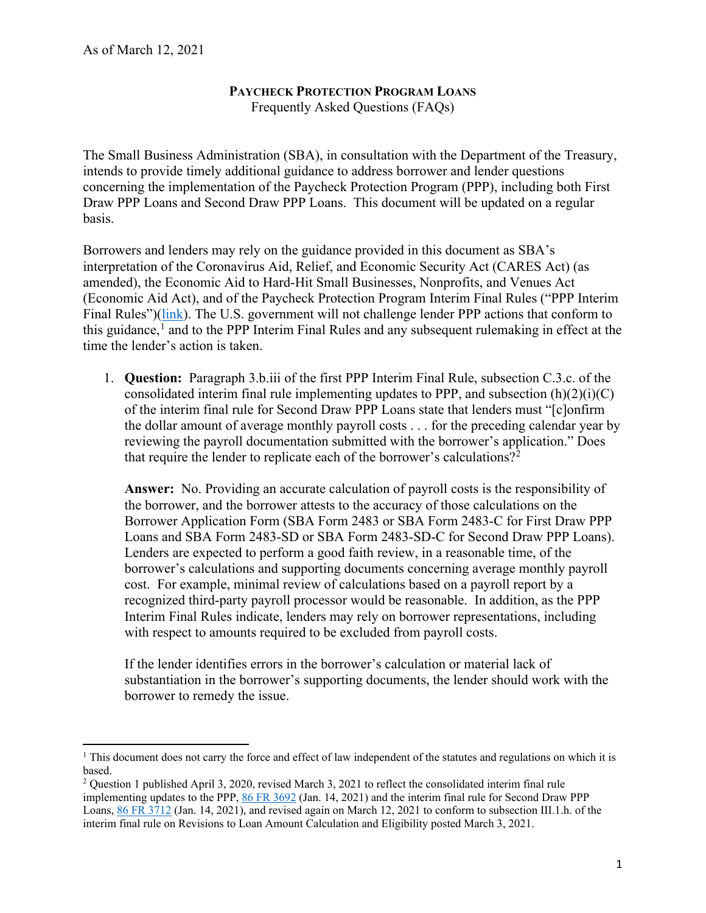## **PAYCHECK PROTECTION PROGRAM LOANS**

Frequently Asked Questions (FAQs)

 Draw PPP Loans and Second Draw PPP Loans. This document will be updated on a regular The Small Business Administration (SBA), in consultation with the Department of the Treasury, intends to provide timely additional guidance to address borrower and lender questions concerning the implementation of the Paycheck Protection Program (PPP), including both First basis.

Final Rules")(*link*). The U.S. government will not challenge lender PPP actions that conform to this guidance,<sup>[1](#page-0-0)</sup> and to the PPP Interim Final Rules and any subsequent rulemaking in effect at the Borrowers and lenders may rely on the guidance provided in this document as SBA's interpretation of the Coronavirus Aid, Relief, and Economic Security Act (CARES Act) (as amended), the Economic Aid to Hard-Hit Small Businesses, Nonprofits, and Venues Act (Economic Aid Act), and of the Paycheck Protection Program Interim Final Rules ("PPP Interim time the lender's action is taken.

consolidated interim final rule implementing updates to PPP, and subsection  $(h)(2)(i)(C)$ 1. **Question:** Paragraph 3.b.iii of the first PPP Interim Final Rule, subsection C.3.c. of the of the interim final rule for Second Draw PPP Loans state that lenders must "[c]onfirm the dollar amount of average monthly payroll costs . . . for the preceding calendar year by reviewing the payroll documentation submitted with the borrower's application." Does that require the lender to replicate each of the borrower's calculations?<sup>2</sup>

 the borrower, and the borrower attests to the accuracy of those calculations on the Lenders are expected to perform a good faith review, in a reasonable time, of the with respect to amounts required to be excluded from payroll costs. **Answer:** No. Providing an accurate calculation of payroll costs is the responsibility of Borrower Application Form (SBA Form 2483 or SBA Form 2483-C for First Draw PPP Loans and SBA Form 2483-SD or SBA Form 2483-SD-C for Second Draw PPP Loans). borrower's calculations and supporting documents concerning average monthly payroll cost. For example, minimal review of calculations based on a payroll report by a recognized third-party payroll processor would be reasonable. In addition, as the PPP Interim Final Rules indicate, lenders may rely on borrower representations, including

If the lender identifies errors in the borrower's calculation or material lack of substantiation in the borrower's supporting documents, the lender should work with the borrower to remedy the issue.

<span id="page-0-0"></span><sup>&</sup>lt;sup>1</sup> This document does not carry the force and effect of law independent of the statutes and regulations on which it is based.

<span id="page-0-1"></span>based.<br><sup>2</sup> Question 1 published April 3, 2020, revised March 3, 2021 to reflect the consolidated interim final rule implementing updates to the PPP,  $86$  FR  $3692$  (Jan. 14, 2021) and the interim final rule for Second Draw PPP Loans, [86 FR 3712](https://www.govinfo.gov/content/pkg/FR-2021-01-14/pdf/2021-00452.pdf) (Jan. 14, 2021), and revised again on March 12, 2021 to conform to subsection III.1.h. of the interim final rule on Revisions to Loan Amount Calculation and Eligibility posted March 3, 2021.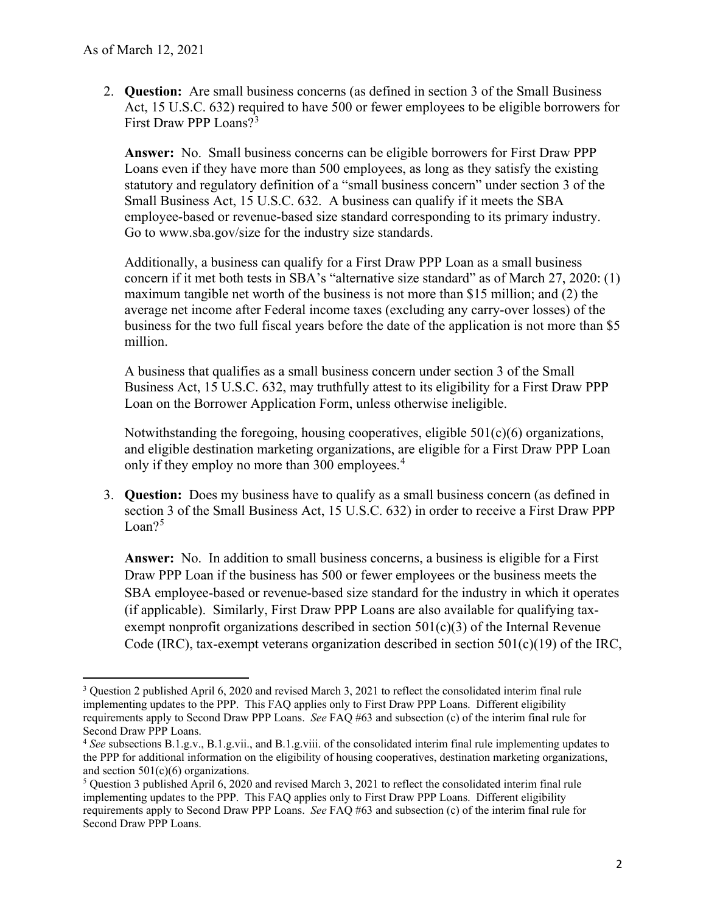2. **Question:** Are small business concerns (as defined in section 3 of the Small Business Act, 15 U.S.C. 632) required to have 500 or fewer employees to be eligible borrowers for First Draw PPP Loans?<sup>3</sup>

 Loans even if they have more than 500 employees, as long as they satisfy the existing **Answer:** No. Small business concerns can be eligible borrowers for First Draw PPP statutory and regulatory definition of a "small business concern" under section 3 of the Small Business Act, 15 U.S.C. 632. A business can qualify if it meets the SBA employee-based or revenue-based size standard corresponding to its primary industry. Go to <www.sba.gov/size>for the industry size standards.

 maximum tangible net worth of the business is not more than \$15 million; and (2) the average net income after Federal income taxes (excluding any carry-over losses) of the business for the two full fiscal years before the date of the application is not more than \$5 Additionally, a business can qualify for a First Draw PPP Loan as a small business concern if it met both tests in SBA's "alternative size standard" as of March 27, 2020: (1) million.

 Business Act, 15 U.S.C. 632, may truthfully attest to its eligibility for a First Draw PPP Loan on the Borrower Application Form, unless otherwise ineligible. A business that qualifies as a small business concern under section 3 of the Small

Notwithstanding the foregoing, housing cooperatives, eligible 501(c)(6) organizations, and eligible destination marketing organizations, are eligible for a First Draw PPP Loan only if they employ no more than 300 employees. [4](#page-1-1)

 3. **Question:** Does my business have to qualify as a small business concern (as defined in section 3 of the Small Business Act, 15 U.S.C. 632) in order to receive a First Draw PPP  $L<sub>oan</sub>$ ?<sup>[5](#page-1-2)</sup>

 SBA employee-based or revenue-based size standard for the industry in which it operates **Answer:** No. In addition to small business concerns, a business is eligible for a First Draw PPP Loan if the business has 500 or fewer employees or the business meets the (if applicable). Similarly, First Draw PPP Loans are also available for qualifying taxexempt nonprofit organizations described in section 501(c)(3) of the Internal Revenue Code (IRC), tax-exempt veterans organization described in section  $501(c)(19)$  of the IRC,

<span id="page-1-0"></span> $3$  Question 2 published April 6, 2020 and revised March 3, 2021 to reflect the consolidated interim final rule implementing updates to the PPP. This FAQ applies only to First Draw PPP Loans. Different eligibility requirements apply to Second Draw PPP Loans. *See* FAQ #63 and subsection (c) of the interim final rule for Second Draw PPP Loans.

<span id="page-1-1"></span> <sup>4</sup>*See* subsections B.1.g.v., B.1.g.vii., and B.1.g.viii. of the consolidated interim final rule implementing updates to the PPP for additional information on the eligibility of housing cooperatives, destination marketing organizations,

<span id="page-1-2"></span>and section 501(c)(6) organizations.<br><sup>5</sup> Question 3 published April 6, 2020 and revised March 3, 2021 to reflect the consolidated interim final rule implementing updates to the PPP. This FAQ applies only to First Draw PPP Loans. Different eligibility requirements apply to Second Draw PPP Loans. *See* FAQ #63 and subsection (c) of the interim final rule for Second Draw PPP Loans.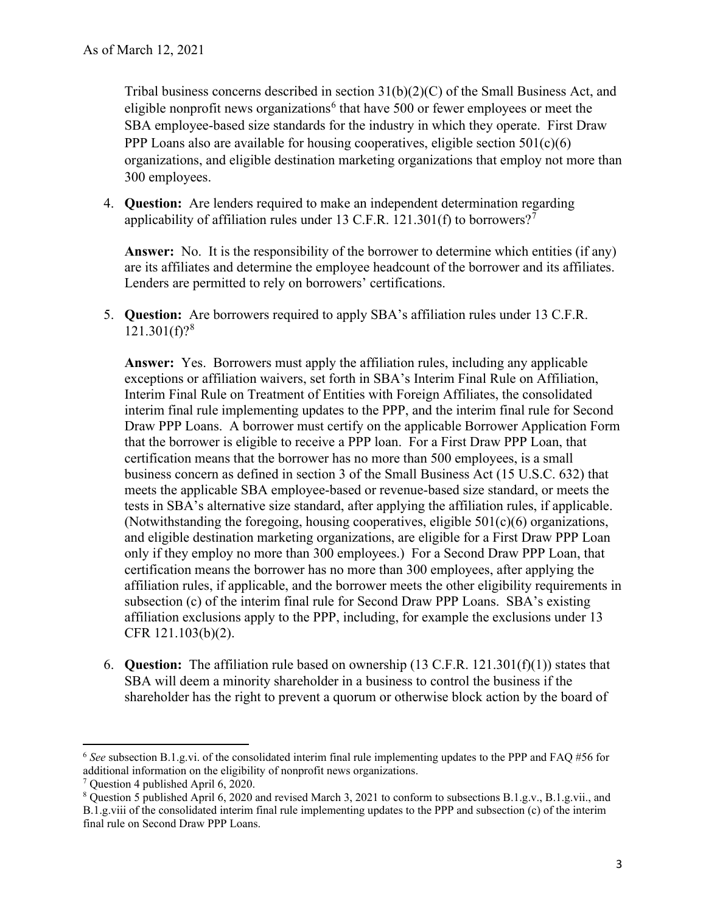Tribal business concerns described in section 31(b)(2)(C) of the Small Business Act, and eligible nonprofit news organizations<sup>[6](#page-2-0)</sup> that have 500 or fewer employees or meet the SBA employee-based size standards for the industry in which they operate. First Draw PPP Loans also are available for housing cooperatives, eligible section  $501(c)(6)$ organizations, and eligible destination marketing organizations that employ not more than 300 employees.

applicability of affiliation rules under 13 C.F.R. 121.301(f) to borrowers?<sup>[7](#page-2-1)</sup> 4. **Question:** Are lenders required to make an independent determination regarding

 **Answer:** No. It is the responsibility of the borrower to determine which entities (if any) are its affiliates and determine the employee headcount of the borrower and its affiliates. Lenders are permitted to rely on borrowers' certifications.

 $121.301(f)?<sup>8</sup>$ 5. **Question:** Are borrowers required to apply SBA's affiliation rules under 13 C.F.R.

 Draw PPP Loans. A borrower must certify on the applicable Borrower Application Form tests in SBA's alternative size standard, after applying the affiliation rules, if applicable. and eligible destination marketing organizations, are eligible for a First Draw PPP Loan certification means the borrower has no more than 300 employees, after applying the **Answer:** Yes. Borrowers must apply the affiliation rules, including any applicable exceptions or affiliation waivers, set forth in SBA's Interim Final Rule on Affiliation, Interim Final Rule on Treatment of Entities with Foreign Affiliates, the consolidated interim final rule implementing updates to the PPP, and the interim final rule for Second that the borrower is eligible to receive a PPP loan. For a First Draw PPP Loan, that certification means that the borrower has no more than 500 employees, is a small business concern as defined in section 3 of the Small Business Act (15 U.S.C. 632) that meets the applicable SBA employee-based or revenue-based size standard, or meets the (Notwithstanding the foregoing, housing cooperatives, eligible  $501(c)(6)$  organizations, only if they employ no more than 300 employees.) For a Second Draw PPP Loan, that affiliation rules, if applicable, and the borrower meets the other eligibility requirements in subsection (c) of the interim final rule for Second Draw PPP Loans. SBA's existing affiliation exclusions apply to the PPP, including, for example the exclusions under 13 CFR 121.103(b)(2).

 6. **Question:** The affiliation rule based on ownership (13 C.F.R. 121.301(f)(1)) states that SBA will deem a minority shareholder in a business to control the business if the shareholder has the right to prevent a quorum or otherwise block action by the board of

<span id="page-2-0"></span> <sup>6</sup>*See* subsection B.1.g.vi. of the consolidated interim final rule implementing updates to the PPP and FAQ #56 for additional information on the eligibility of nonprofit news organizations.<br><sup>7</sup> Question 4 published April 6, 2020.

<span id="page-2-1"></span> $7$  Question 4 published April 6, 2020.

<span id="page-2-2"></span><sup>&</sup>lt;sup>8</sup> Question 5 published April 6, 2020 and revised March 3, 2021 to conform to subsections B.1.g.v., B.1.g.vii., and B.1.g.viii of the consolidated interim final rule implementing updates to the PPP and subsection (c) of the interim final rule on Second Draw PPP Loans.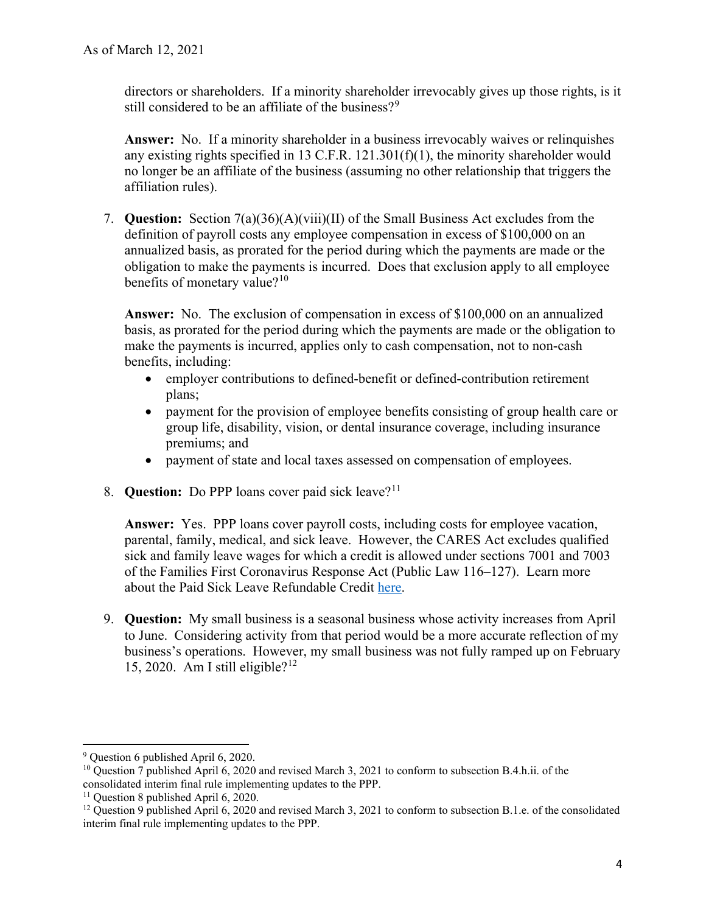directors or shareholders. If a minority shareholder irrevocably gives up those rights, is it still considered to be an affiliate of the business? $9^9$  $9^9$ 

**Answer:** No. If a minority shareholder in a business irrevocably waives or relinquishes any existing rights specified in 13 C.F.R. 121.301(f)(1), the minority shareholder would no longer be an affiliate of the business (assuming no other relationship that triggers the affiliation rules).

 7. **Question:** Section 7(a)(36)(A)(viii)(II) of the Small Business Act excludes from the definition of payroll costs any employee compensation in excess of \$100,000 on an annualized basis, as prorated for the period during which the payments are made or the obligation to make the payments is incurred. Does that exclusion apply to all employee benefits of monetary value? $10<sup>10</sup>$  $10<sup>10</sup>$ 

 basis, as prorated for the period during which the payments are made or the obligation to **Answer:** No. The exclusion of compensation in excess of \$100,000 on an annualized make the payments is incurred, applies only to cash compensation, not to non-cash benefits, including:

- employer contributions to defined-benefit or defined-contribution retirement plans;
- • payment for the provision of employee benefits consisting of group health care or premiums; and group life, disability, vision, or dental insurance coverage, including insurance
- payment of state and local taxes assessed on compensation of employees. 8. **Question:** Do PPP loans cover paid sick leave?<sup>11</sup>
- 

 **Answer:** Yes. PPP loans cover payroll costs, including costs for employee vacation, parental, family, medical, and sick leave. However, the CARES Act excludes qualified sick and family leave wages for which a credit is allowed under sections 7001 and 7003 of the Families First Coronavirus Response Act (Public Law 116–127). Learn more about the Paid Sick Leave Refundable Credit [here.](https://www.irs.gov/newsroom/covid-19-related-tax-credits-for-required-paid-leave-provided-by-small-and-midsize-businesses-faqs)

 9. **Question:** My small business is a seasonal business whose activity increases from April 15, 2020. Am I still eligible? $12$ to June. Considering activity from that period would be a more accurate reflection of my business's operations. However, my small business was not fully ramped up on February

<span id="page-3-0"></span> 9 Question 6 published April 6, 2020.

<span id="page-3-1"></span><sup>&</sup>lt;sup>10</sup> Question 7 published April 6, 2020 and revised March 3, 2021 to conform to subsection B.4.h.ii. of the consolidated interim final rule implementing updates to the PPP.

<span id="page-3-3"></span><span id="page-3-2"></span><sup>&</sup>lt;sup>11</sup> Ouestion 8 published April 6, 2020.

<sup>&</sup>lt;sup>11</sup> Question 8 published April 6, 2020.<br><sup>12</sup> Question 9 published April 6, 2020 and revised March 3, 2021 to conform to subsection B.1.e. of the consolidated interim final rule implementing updates to the PPP.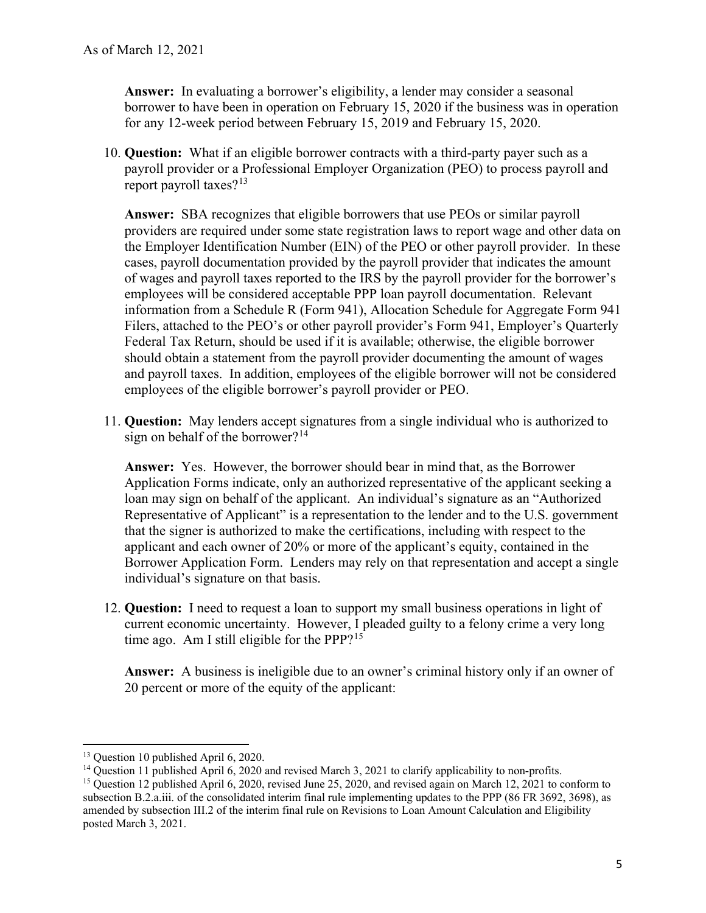**Answer:** In evaluating a borrower's eligibility, a lender may consider a seasonal borrower to have been in operation on February 15, 2020 if the business was in operation for any 12-week period between February 15, 2019 and February 15, 2020.

 10. **Question:** What if an eligible borrower contracts with a third-party payer such as a payroll provider or a Professional Employer Organization (PEO) to process payroll and report payroll taxes? $13$ 

 **Answer:** SBA recognizes that eligible borrowers that use PEOs or similar payroll of wages and payroll taxes reported to the IRS by the payroll provider for the borrower's Federal Tax Return, should be used if it is available; otherwise, the eligible borrower providers are required under some state registration laws to report wage and other data on the Employer Identification Number (EIN) of the PEO or other payroll provider. In these cases, payroll documentation provided by the payroll provider that indicates the amount employees will be considered acceptable PPP loan payroll documentation. Relevant information from a Schedule R (Form 941), Allocation Schedule for Aggregate Form 941 Filers, attached to the PEO's or other payroll provider's Form 941, Employer's Quarterly should obtain a statement from the payroll provider documenting the amount of wages and payroll taxes. In addition, employees of the eligible borrower will not be considered employees of the eligible borrower's payroll provider or PEO.

 11. **Question:** May lenders accept signatures from a single individual who is authorized to sign on behalf of the borrower? $14$ 

 **Answer:** Yes. However, the borrower should bear in mind that, as the Borrower Application Forms indicate, only an authorized representative of the applicant seeking a that the signer is authorized to make the certifications, including with respect to the applicant and each owner of 20% or more of the applicant's equity, contained in the Borrower Application Form. Lenders may rely on that representation and accept a single individual's signature on that basis. loan may sign on behalf of the applicant. An individual's signature as an "Authorized Representative of Applicant" is a representation to the lender and to the U.S. government

 individual's signature on that basis. 12. **Question:** I need to request a loan to support my small business operations in light of time ago. Am I still eligible for the PPP? $15$ current economic uncertainty. However, I pleaded guilty to a felony crime a very long

 **Answer:** A business is ineligible due to an owner's criminal history only if an owner of 20 percent or more of the equity of the applicant:

<span id="page-4-0"></span> $13$  Ouestion 10 published April 6, 2020.

<span id="page-4-2"></span><span id="page-4-1"></span><sup>&</sup>lt;sup>14</sup> Question 11 published April 6, 2020 and revised March 3, 2021 to clarify applicability to non-profits.

<sup>&</sup>lt;sup>13</sup> Question 10 published April 6, 2020.<br><sup>14</sup> Question 11 published April 6, 2020 and revised March 3, 2021 to clarify applicability to non-profits.<br><sup>15</sup> Question 12 published April 6, 2020, revised June 25, 2020, and rev subsection B.2.a.iii. of the consolidated interim final rule implementing updates to the PPP (86 FR 3692, 3698), as amended by subsection III.2 of the interim final rule on Revisions to Loan Amount Calculation and Eligibility posted March 3, 2021.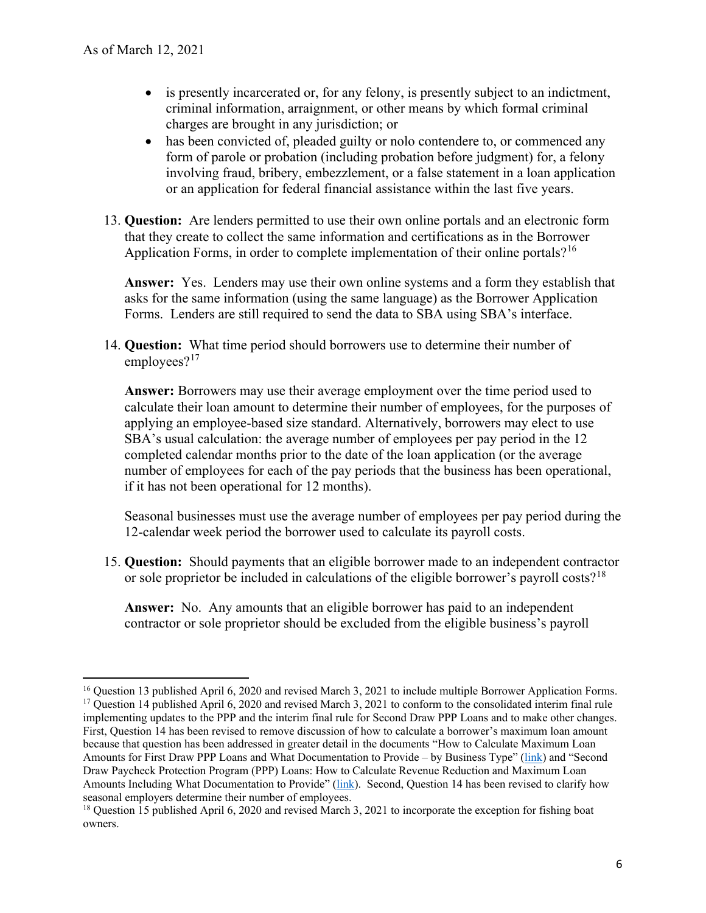- is presently incarcerated or, for any felony, is presently subject to an indictment, criminal information, arraignment, or other means by which formal criminal charges are brought in any jurisdiction; or
- has been convicted of, pleaded guilty or nolo contendere to, or commenced any form of parole or probation (including probation before judgment) for, a felony involving fraud, bribery, embezzlement, or a false statement in a loan application or an application for federal financial assistance within the last five years.
- 13. **Question:** Are lenders permitted to use their own online portals and an electronic form that they create to collect the same information and certifications as in the Borrower Application Forms, in order to complete implementation of their online portals?<sup>[16](#page-5-0)</sup>

 **Answer:** Yes. Lenders may use their own online systems and a form they establish that Forms. Lenders are still required to send the data to SBA using SBA's interface. asks for the same information (using the same language) as the Borrower Application

14. **Question:** What time period should borrowers use to determine their number of employees?<sup>[17](#page-5-1)</sup>

 SBA's usual calculation: the average number of employees per pay period in the 12 **Answer:** Borrowers may use their average employment over the time period used to calculate their loan amount to determine their number of employees, for the purposes of applying an employee-based size standard. Alternatively, borrowers may elect to use completed calendar months prior to the date of the loan application (or the average number of employees for each of the pay periods that the business has been operational, if it has not been operational for 12 months).

Seasonal businesses must use the average number of employees per pay period during the 12-calendar week period the borrower used to calculate its payroll costs.

 15. **Question:** Should payments that an eligible borrower made to an independent contractor or sole proprietor be included in calculations of the eligible borrower's payroll costs?<sup>18</sup>

**Answer:** No. Any amounts that an eligible borrower has paid to an independent contractor or sole proprietor should be excluded from the eligible business's payroll

<span id="page-5-1"></span><span id="page-5-0"></span> $^{16}$  Question 13 published April 6, 2020 and revised March 3, 2021 to include multiple Borrower Application Forms. <sup>16</sup> Question 13 published April 6, 2020 and revised March 3, 2021 to include multiple Borrower Application Forms.<br><sup>17</sup> Question 14 published April 6, 2020 and revised March 3, 2021 to conform to the consolidated interim implementing updates to the PPP and the interim final rule for Second Draw PPP Loans and to make other changes. First, Question 14 has been revised to remove discussion of how to calculate a borrower's maximum loan amount because that question has been addressed in greater detail in the documents "How to Calculate Maximum Loan Amounts for First Draw PPP Loans and What Documentation to Provide – by Business Type" [\(link\)](https://home.treasury.gov/system/files/136/PPP--How-to-Calculate-Maximum-Loan-Amounts-for-First-Draw-PPP-Loans-and-What-Documentation-to-Provide-By-Business-Type.pdf) and "Second Draw Paycheck Protection Program (PPP) Loans: How to Calculate Revenue Reduction and Maximum Loan Amounts Including What Documentation to Provide" [\(link\)](https://home.treasury.gov/system/files/136/Second-Draw-PPP-Loans--How-Calculate-Revenue-Reduction-Maximum-Loan-Amounts-Including-Documentation-Provide1192021.pdf). Second, Question 14 has been revised to clarify how seasonal employers determine their number of employees.

<span id="page-5-2"></span>seasonal employers determine their number of employees.<br><sup>18</sup> Question 15 published April 6, 2020 and revised March 3, 2021 to incorporate the exception for fishing boat owners.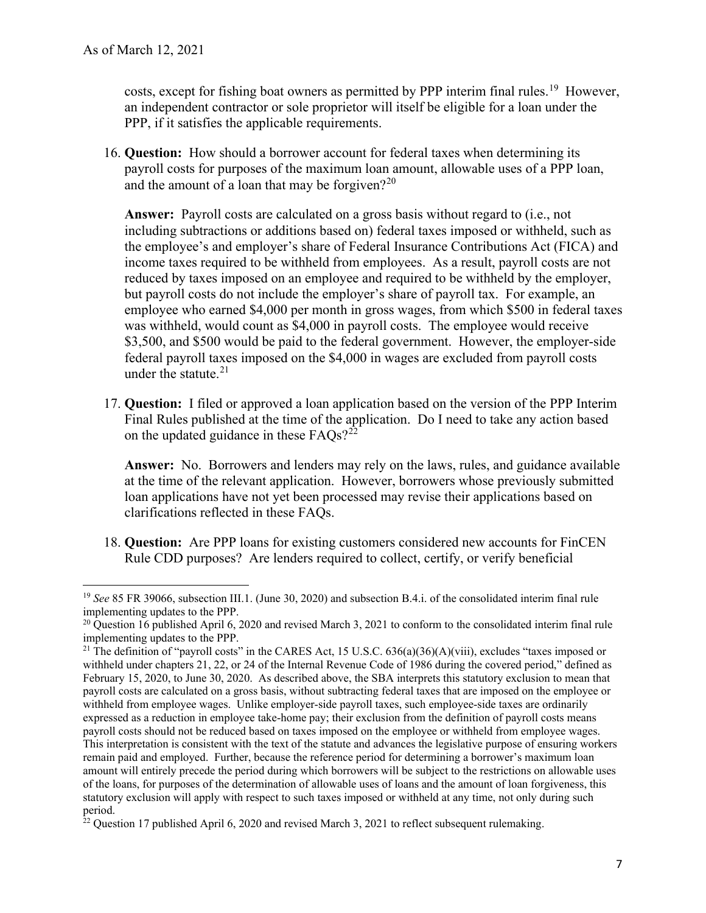costs, except for fishing boat owners as permitted by PPP interim final rules.<sup>19</sup> However, an independent contractor or sole proprietor will itself be eligible for a loan under the PPP, if it satisfies the applicable requirements.

 16. **Question:** How should a borrower account for federal taxes when determining its payroll costs for purposes of the maximum loan amount, allowable uses of a PPP loan, and the amount of a loan that may be forgiven?<sup>[20](#page-6-1)</sup>

 including subtractions or additions based on) federal taxes imposed or withheld, such as **Answer:** Payroll costs are calculated on a gross basis without regard to (i.e., not the employee's and employer's share of Federal Insurance Contributions Act (FICA) and income taxes required to be withheld from employees. As a result, payroll costs are not reduced by taxes imposed on an employee and required to be withheld by the employer, but payroll costs do not include the employer's share of payroll tax. For example, an employee who earned \$4,000 per month in gross wages, from which \$500 in federal taxes was withheld, would count as \$4,000 in payroll costs. The employee would receive \$3,500, and \$500 would be paid to the federal government. However, the employer-side federal payroll taxes imposed on the \$4,000 in wages are excluded from payroll costs under the statute. $21$ 

17. **Question:** I filed or approved a loan application based on the version of the PPP Interim Final Rules published at the time of the application. Do I need to take any action based on the updated guidance in these  $FAOs$ <sup>22</sup>

**Answer:** No. Borrowers and lenders may rely on the laws, rules, and guidance available at the time of the relevant application. However, borrowers whose previously submitted loan applications have not yet been processed may revise their applications based on clarifications reflected in these FAQs.

 Rule CDD purposes? Are lenders required to collect, certify, or verify beneficial 18. **Question:** Are PPP loans for existing customers considered new accounts for FinCEN

<span id="page-6-0"></span> <sup>19</sup>*See* 85 FR 39066, subsection III.1. (June 30, 2020) and subsection B.4.i. of the consolidated interim final rule implementing updates to the PPP.

<span id="page-6-1"></span> $20$  Question 16 published April 6, 2020 and revised March 3, 2021 to conform to the consolidated interim final rule implementing updates to the PPP.

<span id="page-6-2"></span>implementing updates to the PPP.<br><sup>21</sup> The definition of "payroll costs" in the CARES Act, 15 U.S.C. 636(a)(36)(A)(viii), excludes "taxes imposed or withheld under chapters 21, 22, or 24 of the Internal Revenue Code of 1986 during the covered period," defined as February 15, 2020, to June 30, 2020. As described above, the SBA interprets this statutory exclusion to mean that payroll costs are calculated on a gross basis, without subtracting federal taxes that are imposed on the employee or withheld from employee wages. Unlike employer-side payroll taxes, such employee-side taxes are ordinarily expressed as a reduction in employee take-home pay; their exclusion from the definition of payroll costs means payroll costs should not be reduced based on taxes imposed on the employee or withheld from employee wages. This interpretation is consistent with the text of the statute and advances the legislative purpose of ensuring workers remain paid and employed. Further, because the reference period for determining a borrower's maximum loan amount will entirely precede the period during which borrowers will be subject to the restrictions on allowable uses of the loans, for purposes of the determination of allowable uses of loans and the amount of loan forgiveness, this statutory exclusion will apply with respect to such taxes imposed or withheld at any time, not only during such period.

<span id="page-6-3"></span> $22$  Question 17 published April 6, 2020 and revised March 3, 2021 to reflect subsequent rulemaking.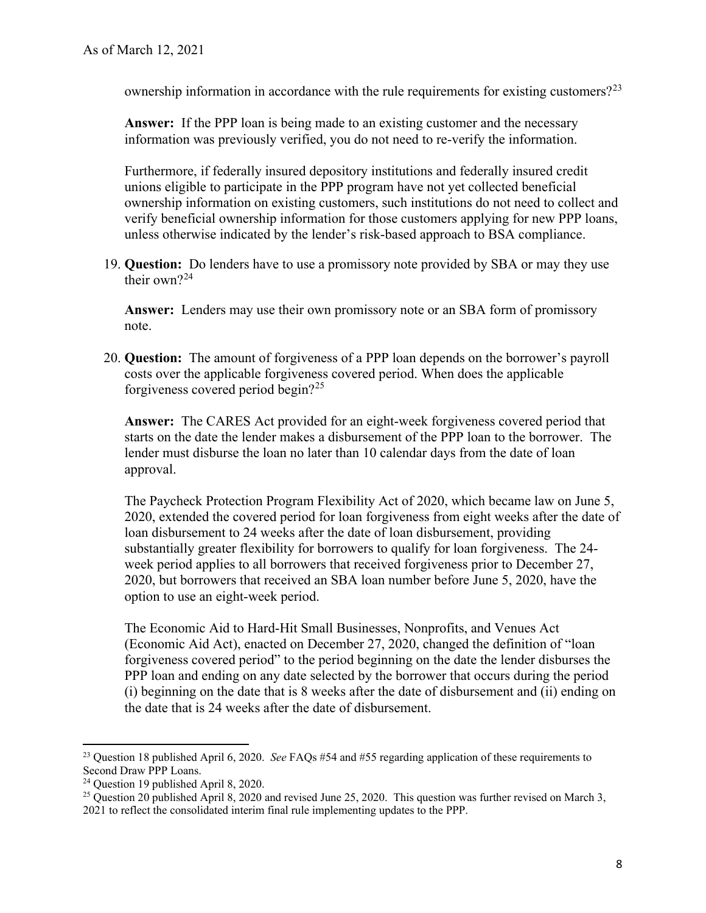ownership information in accordance with the rule requirements for existing customers?<sup>23</sup>

 **Answer:** If the PPP loan is being made to an existing customer and the necessary information was previously verified, you do not need to re-verify the information.

Furthermore, if federally insured depository institutions and federally insured credit unions eligible to participate in the PPP program have not yet collected beneficial ownership information on existing customers, such institutions do not need to collect and verify beneficial ownership information for those customers applying for new PPP loans, unless otherwise indicated by the lender's risk-based approach to BSA compliance.

 19. **Question:** Do lenders have to use a promissory note provided by SBA or may they use their own? $24$ 

 **Answer:** Lenders may use their own promissory note or an SBA form of promissory note.

 forgiveness covered period begin?[25](#page-7-2)  20. **Question:** The amount of forgiveness of a PPP loan depends on the borrower's payroll costs over the applicable forgiveness covered period. When does the applicable

 **Answer:** The CARES Act provided for an eight-week forgiveness covered period that starts on the date the lender makes a disbursement of the PPP loan to the borrower. The lender must disburse the loan no later than 10 calendar days from the date of loan approval.

 2020, extended the covered period for loan forgiveness from eight weeks after the date of 2020, but borrowers that received an SBA loan number before June 5, 2020, have the The Paycheck Protection Program Flexibility Act of 2020, which became law on June 5, loan disbursement to 24 weeks after the date of loan disbursement, providing substantially greater flexibility for borrowers to qualify for loan forgiveness. The 24 week period applies to all borrowers that received forgiveness prior to December 27, option to use an eight-week period.

 The Economic Aid to Hard-Hit Small Businesses, Nonprofits, and Venues Act (i) beginning on the date that is 8 weeks after the date of disbursement and (ii) ending on (Economic Aid Act), enacted on December 27, 2020, changed the definition of "loan forgiveness covered period" to the period beginning on the date the lender disburses the PPP loan and ending on any date selected by the borrower that occurs during the period the date that is 24 weeks after the date of disbursement.

<span id="page-7-0"></span> 23 Question 18 published April 6, 2020. *See* FAQs #54 and #55 regarding application of these requirements to Second Draw PPP Loans.

<span id="page-7-2"></span><span id="page-7-1"></span><sup>&</sup>lt;sup>24</sup> Question 19 published April 8, 2020.

<sup>&</sup>lt;sup>24</sup> Question 19 published April 8, 2020.<br><sup>25</sup> Question 20 published April 8, 2020 and revised June 25, 2020. This question was further revised on March 3, 2021 to reflect the consolidated interim final rule implementing updates to the PPP.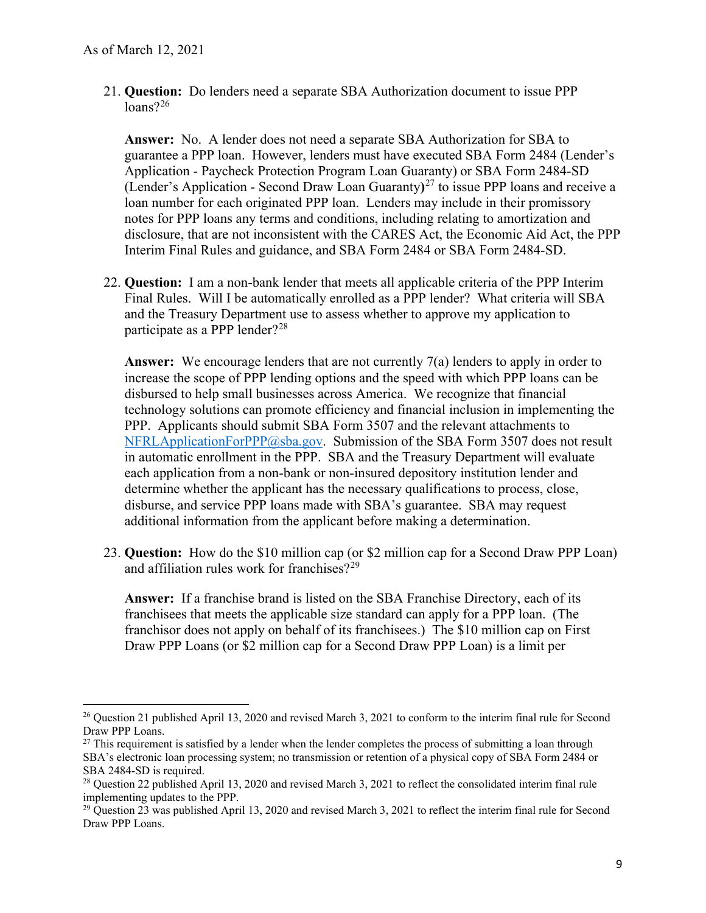21. **Question:** Do lenders need a separate SBA Authorization document to issue PPP  $\frac{\text{loans}}{26}$  $\frac{\text{loans}}{26}$  $\frac{\text{loans}}{26}$ 

**Answer:** No. A lender does not need a separate SBA Authorization for SBA to guarantee a PPP loan. However, lenders must have executed SBA Form 2484 (Lender's Application - Paycheck Protection Program Loan Guaranty) or SBA Form 2484-SD (Lender's Application - Second Draw Loan Guaranty**)** [27](#page-8-1) to issue PPP loans and receive a loan number for each originated PPP loan. Lenders may include in their promissory notes for PPP loans any terms and conditions, including relating to amortization and disclosure, that are not inconsistent with the CARES Act, the Economic Aid Act, the PPP Interim Final Rules and guidance, and SBA Form 2484 or SBA Form 2484-SD.

22. **Question:** I am a non-bank lender that meets all applicable criteria of the PPP Interim Final Rules. Will I be automatically enrolled as a PPP lender? What criteria will SBA and the Treasury Department use to assess whether to approve my application to participate as a PPP lender?<sup>28</sup>

Answer: We encourage lenders that are not currently 7(a) lenders to apply in order to disbursed to help small businesses across America. We recognize that financial in automatic enrollment in the PPP. SBA and the Treasury Department will evaluate increase the scope of PPP lending options and the speed with which PPP loans can be technology solutions can promote efficiency and financial inclusion in implementing the PPP. Applicants should submit SBA Form 3507 and the relevant attachments to  $NFRLApplicationFor PPP@sba.gov.$  Submission of the SBA Form 3507 does not result each application from a non-bank or non-insured depository institution lender and determine whether the applicant has the necessary qualifications to process, close, disburse, and service PPP loans made with SBA's guarantee. SBA may request additional information from the applicant before making a determination.

and affiliation rules work for franchises? $2^9$ 23. **Question:** How do the \$10 million cap (or \$2 million cap for a Second Draw PPP Loan)

 franchisor does not apply on behalf of its franchisees.) The \$10 million cap on First **Answer:** If a franchise brand is listed on the SBA Franchise Directory, each of its franchisees that meets the applicable size standard can apply for a PPP loan. (The Draw PPP Loans (or \$2 million cap for a Second Draw PPP Loan) is a limit per

<span id="page-8-0"></span><sup>&</sup>lt;sup>26</sup> Question 21 published April 13, 2020 and revised March 3, 2021 to conform to the interim final rule for Second Draw PPP Loans.

<span id="page-8-1"></span> $27$  This requirement is satisfied by a lender when the lender completes the process of submitting a loan through SBA's electronic loan processing system; no transmission or retention of a physical copy of SBA Form 2484 or SBA 2484-SD is required.

<span id="page-8-2"></span>SBA 2484-SD is required.<br><sup>28</sup> Question 22 published April 13, 2020 and revised March 3, 2021 to reflect the consolidated interim final rule implementing updates to the PPP.

<span id="page-8-3"></span> $29$  Question 23 was published April 13, 2020 and revised March 3, 2021 to reflect the interim final rule for Second Draw PPP Loans.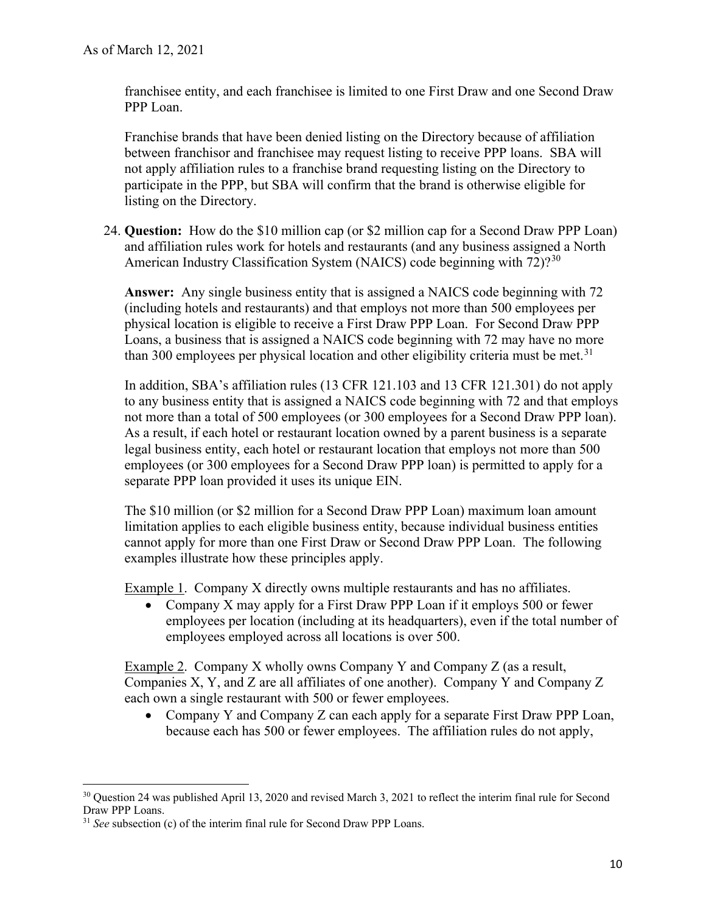franchisee entity, and each franchisee is limited to one First Draw and one Second Draw PPP Loan.

 between franchisor and franchisee may request listing to receive PPP loans. SBA will not apply affiliation rules to a franchise brand requesting listing on the Directory to participate in the PPP, but SBA will confirm that the brand is otherwise eligible for listing on the Directory. Franchise brands that have been denied listing on the Directory because of affiliation

American Industry Classification System (NAICS) code beginning with  $72$ )<sup>2[30](#page-9-0)</sup> 24. **Question:** How do the \$10 million cap (or \$2 million cap for a Second Draw PPP Loan) and affiliation rules work for hotels and restaurants (and any business assigned a North

 **Answer:** Any single business entity that is assigned a NAICS code beginning with 72 (including hotels and restaurants) and that employs not more than 500 employees per Loans, a business that is assigned a NAICS code beginning with 72 may have no more than 300 employees per physical location and other eligibility criteria must be met.<sup>31</sup> physical location is eligible to receive a First Draw PPP Loan. For Second Draw PPP

 legal business entity, each hotel or restaurant location that employs not more than 500 employees (or 300 employees for a Second Draw PPP loan) is permitted to apply for a In addition, SBA's affiliation rules (13 CFR 121.103 and 13 CFR 121.301) do not apply to any business entity that is assigned a NAICS code beginning with 72 and that employs not more than a total of 500 employees (or 300 employees for a Second Draw PPP loan). As a result, if each hotel or restaurant location owned by a parent business is a separate separate PPP loan provided it uses its unique EIN.

 The \$10 million (or \$2 million for a Second Draw PPP Loan) maximum loan amount limitation applies to each eligible business entity, because individual business entities cannot apply for more than one First Draw or Second Draw PPP Loan. The following examples illustrate how these principles apply.

Example 1. Company X directly owns multiple restaurants and has no affiliates.

• Company X may apply for a First Draw PPP Loan if it employs 500 or fewer employees per location (including at its headquarters), even if the total number of employees employed across all locations is over 500.

 Companies X, Y, and Z are all affiliates of one another). Company Y and Company Z each own a single restaurant with 500 or fewer employees. Example 2. Company X wholly owns Company Y and Company Z (as a result,

 • Company Y and Company Z can each apply for a separate First Draw PPP Loan, because each has 500 or fewer employees. The affiliation rules do not apply,

<span id="page-9-0"></span><sup>&</sup>lt;sup>30</sup> Question 24 was published April 13, 2020 and revised March 3, 2021 to reflect the interim final rule for Second Draw PPP Loans.

<span id="page-9-1"></span> <sup>31</sup>*See* subsection (c) of the interim final rule for Second Draw PPP Loans.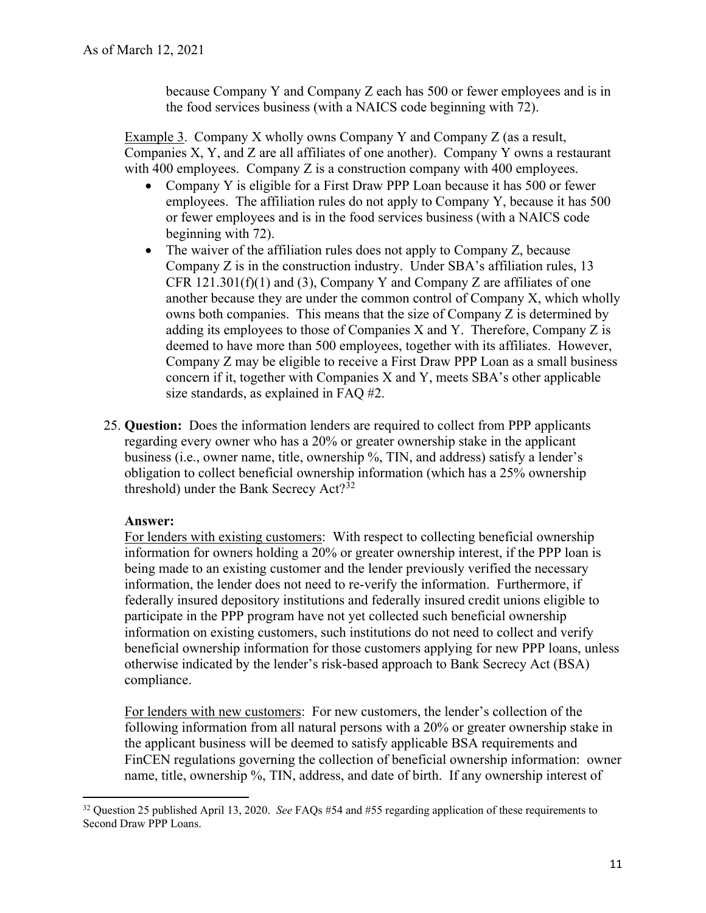because Company Y and Company Z each has 500 or fewer employees and is in the food services business (with a NAICS code beginning with 72).

 Companies X, Y, and Z are all affiliates of one another). Company Y owns a restaurant Example 3. Company X wholly owns Company Y and Company Z (as a result, with 400 employees. Company Z is a construction company with 400 employees.

- • Company Y is eligible for a First Draw PPP Loan because it has 500 or fewer employees. The affiliation rules do not apply to Company Y, because it has 500 or fewer employees and is in the food services business (with a NAICS code beginning with 72).
- The waiver of the affiliation rules does not apply to Company Z, because CFR  $121.301(f)(1)$  and (3), Company Y and Company Z are affiliates of one another because they are under the common control of Company X, which wholly owns both companies. This means that the size of Company Z is determined by adding its employees to those of Companies X and Y. Therefore, Company Z is size standards, as explained in FAQ #2. Company Z is in the construction industry. Under SBA's affiliation rules, 13 deemed to have more than 500 employees, together with its affiliates. However, Company Z may be eligible to receive a First Draw PPP Loan as a small business concern if it, together with Companies X and Y, meets SBA's other applicable
- 25. **Question:** Does the information lenders are required to collect from PPP applicants regarding every owner who has a 20% or greater ownership stake in the applicant business (i.e., owner name, title, ownership %, TIN, and address) satisfy a lender's obligation to collect beneficial ownership information (which has a 25% ownership threshold) under the Bank Secrecy  $Act?^{32}$  $Act?^{32}$  $Act?^{32}$

## **Answer:**

For lenders with existing customers: With respect to collecting beneficial ownership information for owners holding a 20% or greater ownership interest, if the PPP loan is being made to an existing customer and the lender previously verified the necessary information, the lender does not need to re-verify the information. Furthermore, if federally insured depository institutions and federally insured credit unions eligible to participate in the PPP program have not yet collected such beneficial ownership information on existing customers, such institutions do not need to collect and verify beneficial ownership information for those customers applying for new PPP loans, unless otherwise indicated by the lender's risk-based approach to Bank Secrecy Act (BSA) compliance.

 name, title, ownership %, TIN, address, and date of birth. If any ownership interest of For lenders with new customers: For new customers, the lender's collection of the following information from all natural persons with a 20% or greater ownership stake in the applicant business will be deemed to satisfy applicable BSA requirements and FinCEN regulations governing the collection of beneficial ownership information: owner

<span id="page-10-0"></span> 32 Question 25 published April 13, 2020. *See* FAQs #54 and #55 regarding application of these requirements to Second Draw PPP Loans.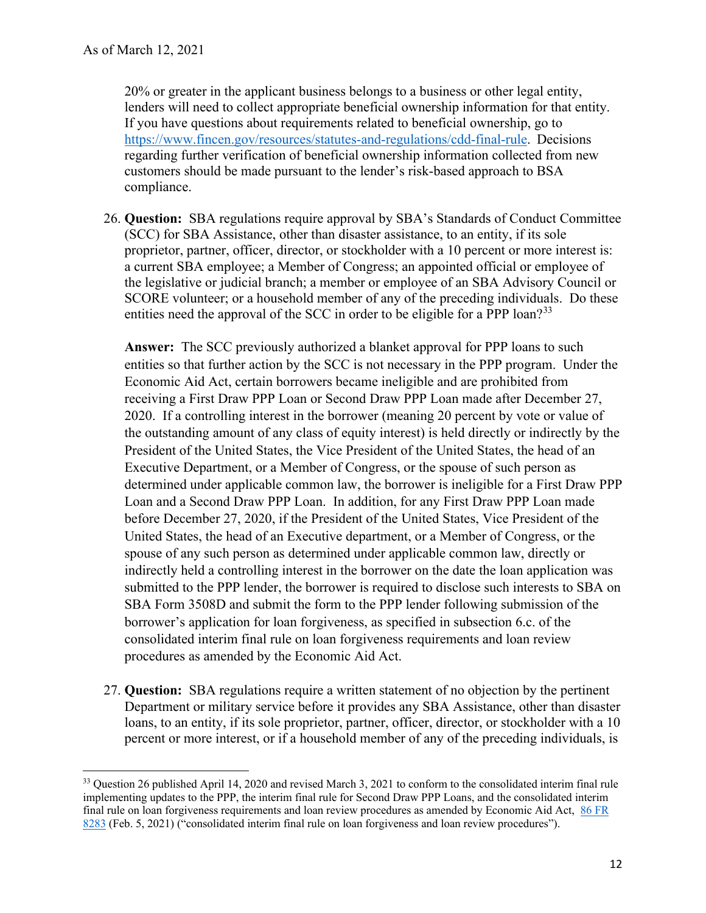lenders will need to collect appropriate beneficial ownership information for that entity. If you have questions about requirements related to beneficial ownership, go to If you have questions about requirements related to beneficial ownership, go to customers should be made pursuant to the lender's risk-based approach to BSA 20% or greater in the applicant business belongs to a business or other legal entity, [https://www.fincen.gov/resources/statutes-and-regulations/cdd-final-rule.](https://www.fincen.gov/resources/statutes-and-regulations/cdd-final-rule) Decisions regarding further verification of beneficial ownership information collected from new compliance.

 26. **Question:** SBA regulations require approval by SBA's Standards of Conduct Committee (SCC) for SBA Assistance, other than disaster assistance, to an entity, if its sole a current SBA employee; a Member of Congress; an appointed official or employee of entities need the approval of the SCC in order to be eligible for a PPP loan?<sup>[33](#page-11-0)</sup> proprietor, partner, officer, director, or stockholder with a 10 percent or more interest is: the legislative or judicial branch; a member or employee of an SBA Advisory Council or SCORE volunteer; or a household member of any of the preceding individuals. Do these

 **Answer:** The SCC previously authorized a blanket approval for PPP loans to such receiving a First Draw PPP Loan or Second Draw PPP Loan made after December 27, the outstanding amount of any class of equity interest) is held directly or indirectly by the determined under applicable common law, the borrower is ineligible for a First Draw PPP United States, the head of an Executive department, or a Member of Congress, or the entities so that further action by the SCC is not necessary in the PPP program. Under the Economic Aid Act, certain borrowers became ineligible and are prohibited from 2020. If a controlling interest in the borrower (meaning 20 percent by vote or value of President of the United States, the Vice President of the United States, the head of an Executive Department, or a Member of Congress, or the spouse of such person as Loan and a Second Draw PPP Loan. In addition, for any First Draw PPP Loan made before December 27, 2020, if the President of the United States, Vice President of the spouse of any such person as determined under applicable common law, directly or indirectly held a controlling interest in the borrower on the date the loan application was submitted to the PPP lender, the borrower is required to disclose such interests to SBA on SBA Form 3508D and submit the form to the PPP lender following submission of the borrower's application for loan forgiveness, as specified in subsection 6.c. of the consolidated interim final rule on loan forgiveness requirements and loan review procedures as amended by the Economic Aid Act.

 27. **Question:** SBA regulations require a written statement of no objection by the pertinent loans, to an entity, if its sole proprietor, partner, officer, director, or stockholder with a 10 Department or military service before it provides any SBA Assistance, other than disaster percent or more interest, or if a household member of any of the preceding individuals, is

<span id="page-11-0"></span><sup>&</sup>lt;sup>33</sup> Question 26 published April 14, 2020 and revised March 3, 2021 to conform to the consolidated interim final rule implementing updates to the PPP, the interim final rule for Second Draw PPP Loans, and the consolidated interim final rule on loan forgiveness requirements and loan review procedures as amended by Economic Aid Act, 86 FR [8283](https://www.govinfo.gov/content/pkg/FR-2021-02-05/pdf/2021-02314.pdf) (Feb. 5, 2021) ("consolidated interim final rule on loan forgiveness and loan review procedures").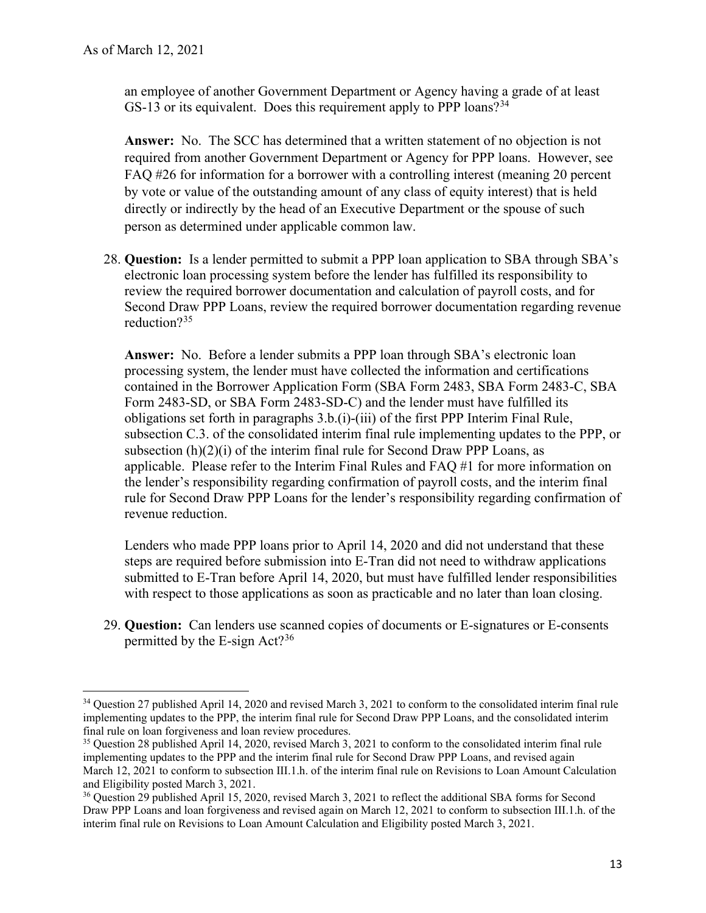an employee of another Government Department or Agency having a grade of at least GS-13 or its equivalent. Does this requirement apply to PPP loans?<sup>34</sup>

 **Answer:** No. The SCC has determined that a written statement of no objection is not required from another Government Department or Agency for PPP loans. However, see FAQ #26 for information for a borrower with a controlling interest (meaning 20 percent by vote or value of the outstanding amount of any class of equity interest) that is held directly or indirectly by the head of an Executive Department or the spouse of such person as determined under applicable common law.

 28. **Question:** Is a lender permitted to submit a PPP loan application to SBA through SBA's electronic loan processing system before the lender has fulfilled its responsibility to review the required borrower documentation and calculation of payroll costs, and for Second Draw PPP Loans, review the required borrower documentation regarding revenue reduction?[35](#page-12-1)

**Answer:** No. Before a lender submits a PPP loan through SBA's electronic loan processing system, the lender must have collected the information and certifications contained in the Borrower Application Form (SBA Form 2483, SBA Form 2483-C, SBA Form 2483-SD, or SBA Form 2483-SD-C) and the lender must have fulfilled its obligations set forth in paragraphs 3.b.(i)-(iii) of the first PPP Interim Final Rule, subsection C.3. of the consolidated interim final rule implementing updates to the PPP, or subsection  $(h)(2)(i)$  of the interim final rule for Second Draw PPP Loans, as applicable. Please refer to the Interim Final Rules and FAQ #1 for more information on the lender's responsibility regarding confirmation of payroll costs, and the interim final rule for Second Draw PPP Loans for the lender's responsibility regarding confirmation of revenue reduction.

Lenders who made PPP loans prior to April 14, 2020 and did not understand that these steps are required before submission into E-Tran did not need to withdraw applications submitted to E-Tran before April 14, 2020, but must have fulfilled lender responsibilities with respect to those applications as soon as practicable and no later than loan closing.

29. **Question:** Can lenders use scanned copies of documents or E-signatures or E-consents permitted by the E-sign Act?<sup>[36](#page-12-2)</sup>

<span id="page-12-0"></span><sup>&</sup>lt;sup>34</sup> Question 27 published April 14, 2020 and revised March 3, 2021 to conform to the consolidated interim final rule implementing updates to the PPP, the interim final rule for Second Draw PPP Loans, and the consolidated interim final rule on loan forgiveness and loan review procedures.

<span id="page-12-1"></span>final rule on loan forgiveness and loan review procedures.<br><sup>35</sup> Question 28 published April 14, 2020, revised March 3, 2021 to conform to the consolidated interim final rule implementing updates to the PPP and the interim final rule for Second Draw PPP Loans, and revised again March 12, 2021 to conform to subsection III.1.h. of the interim final rule on Revisions to Loan Amount Calculation and Eligibility posted March 3, 2021.

<span id="page-12-2"></span><sup>&</sup>lt;sup>36</sup> Question 29 published April 15, 2020, revised March 3, 2021 to reflect the additional SBA forms for Second Draw PPP Loans and loan forgiveness and revised again on March 12, 2021 to conform to subsection III.1.h. of the interim final rule on Revisions to Loan Amount Calculation and Eligibility posted March 3, 2021.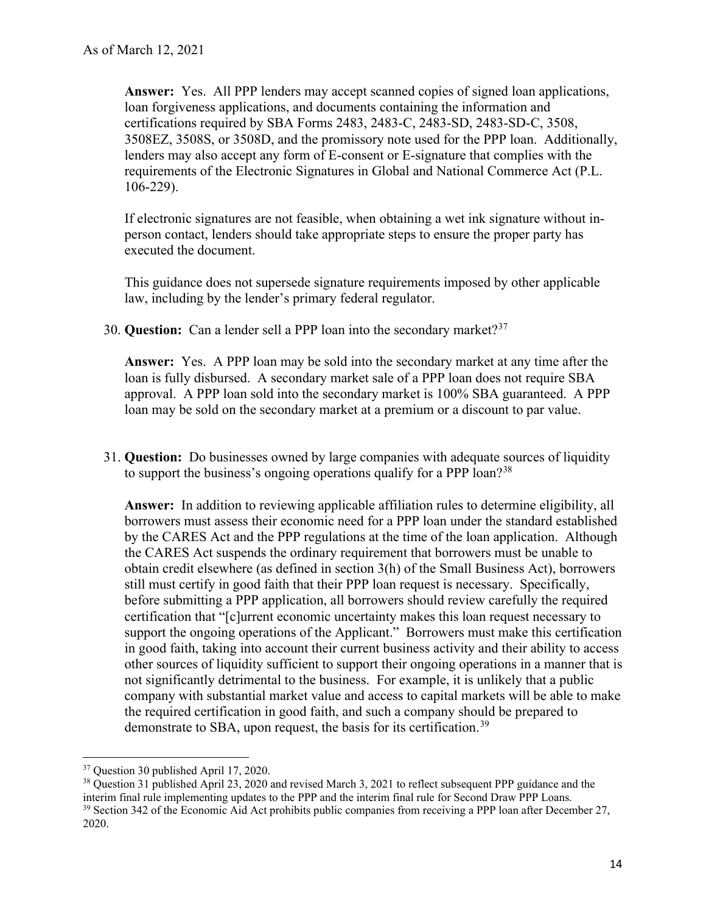**Answer:** Yes. All PPP lenders may accept scanned copies of signed loan applications, loan forgiveness applications, and documents containing the information and certifications required by SBA Forms 2483, 2483-C, 2483-SD, 2483-SD-C, 3508, 3508EZ, 3508S, or 3508D, and the promissory note used for the PPP loan. Additionally, lenders may also accept any form of E-consent or E-signature that complies with the requirements of the Electronic Signatures in Global and National Commerce Act (P.L. 106-229).

 person contact, lenders should take appropriate steps to ensure the proper party has If electronic signatures are not feasible, when obtaining a wet ink signature without inexecuted the document.

 This guidance does not supersede signature requirements imposed by other applicable law, including by the lender's primary federal regulator.

30. **Question:** Can a lender sell a PPP loan into the secondary market?<sup>[37](#page-13-0)</sup>

 **Answer:** Yes. A PPP loan may be sold into the secondary market at any time after the loan may be sold on the secondary market at a premium or a discount to par value. loan is fully disbursed. A secondary market sale of a PPP loan does not require SBA approval. A PPP loan sold into the secondary market is 100% SBA guaranteed. A PPP

 31. **Question:** Do businesses owned by large companies with adequate sources of liquidity to support the business's ongoing operations qualify for a PPP loan?<sup>[38](#page-13-1)</sup>

 **Answer:** In addition to reviewing applicable affiliation rules to determine eligibility, all certification that "[c]urrent economic uncertainty makes this loan request necessary to company with substantial market value and access to capital markets will be able to make demonstrate to SBA, upon request, the basis for its certification.<sup>39</sup> borrowers must assess their economic need for a PPP loan under the standard established by the CARES Act and the PPP regulations at the time of the loan application. Although the CARES Act suspends the ordinary requirement that borrowers must be unable to obtain credit elsewhere (as defined in section 3(h) of the Small Business Act), borrowers still must certify in good faith that their PPP loan request is necessary. Specifically, before submitting a PPP application, all borrowers should review carefully the required support the ongoing operations of the Applicant." Borrowers must make this certification in good faith, taking into account their current business activity and their ability to access other sources of liquidity sufficient to support their ongoing operations in a manner that is not significantly detrimental to the business. For example, it is unlikely that a public the required certification in good faith, and such a company should be prepared to

<span id="page-13-0"></span><sup>&</sup>lt;sup>37</sup> Ouestion 30 published April 17, 2020.

<span id="page-13-2"></span><span id="page-13-1"></span><sup>&</sup>lt;sup>37</sup> Question 30 published April 17, 2020.<br><sup>38</sup> Question 31 published April 23, 2020 and revised March 3, 2021 to reflect subsequent PPP guidance and the interim final rule implementing updates to the PPP and the interim final rule for Second Draw PPP Loans. interim final rule implementing updates to the PPP and the interim final rule for Second Draw PPP Loans.<br><sup>39</sup> Section 342 of the Economic Aid Act prohibits public companies from receiving a PPP loan after December 27, 2020.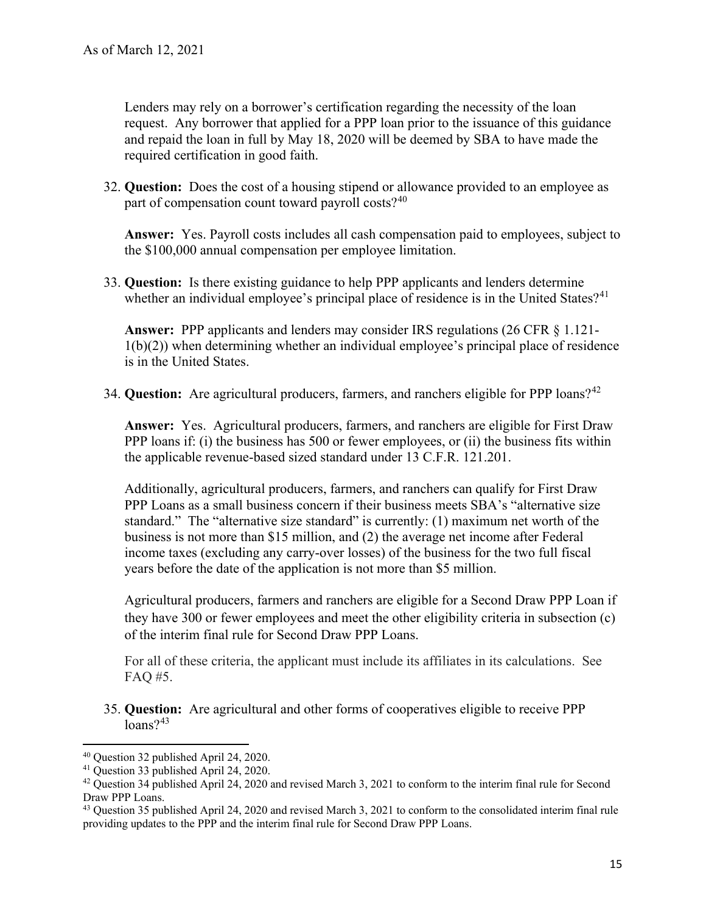Lenders may rely on a borrower's certification regarding the necessity of the loan and repaid the loan in full by May 18, 2020 will be deemed by SBA to have made the request. Any borrower that applied for a PPP loan prior to the issuance of this guidance required certification in good faith.

 32. **Question:** Does the cost of a housing stipend or allowance provided to an employee as part of compensation count toward payroll costs? $40$ 

**Answer:** Yes. Payroll costs includes all cash compensation paid to employees, subject to the \$100,000 annual compensation per employee limitation.

33. **Question:** Is there existing guidance to help PPP applicants and lenders determine whether an individual employee's principal place of residence is in the United States?<sup>[41](#page-14-1)</sup>

**Answer:** PPP applicants and lenders may consider IRS regulations (26 CFR § 1.121-  $1(b)(2)$ ) when determining whether an individual employee's principal place of residence is in the United States.

34. **Question:** Are agricultural producers, farmers, and ranchers eligible for PPP loans?[42](#page-14-2)

 **Answer:** Yes. Agricultural producers, farmers, and ranchers are eligible for First Draw PPP loans if: (i) the business has 500 or fewer employees, or (ii) the business fits within the applicable revenue-based sized standard under 13 C.F.R. 121.201.

 Additionally, agricultural producers, farmers, and ranchers can qualify for First Draw standard." The "alternative size standard" is currently: (1) maximum net worth of the business is not more than \$15 million, and (2) the average net income after Federal years before the date of the application is not more than \$5 million. PPP Loans as a small business concern if their business meets SBA's "alternative size income taxes (excluding any carry-over losses) of the business for the two full fiscal

 Agricultural producers, farmers and ranchers are eligible for a Second Draw PPP Loan if they have 300 or fewer employees and meet the other eligibility criteria in subsection (c) of the interim final rule for Second Draw PPP Loans.

 For all of these criteria, the applicant must include its affiliates in its calculations. See FAQ #5.

35. **Question:** Are agricultural and other forms of cooperatives eligible to receive PPP  $loans?$ <sup>[43](#page-14-3)</sup>

<span id="page-14-0"></span><sup>&</sup>lt;sup>40</sup> Ouestion 32 published April 24, 2020.

<span id="page-14-2"></span><span id="page-14-1"></span><sup>&</sup>lt;sup>41</sup> Ouestion 33 published April 24, 2020.

<sup>&</sup>lt;sup>40</sup> Question 32 published April 24, 2020.<br><sup>41</sup> Question 33 published April 24, 2020.<br><sup>42</sup> Question 34 published April 24, 2020 and revised March 3, 2021 to conform to the interim final rule for Second Draw PPP Loans.

<span id="page-14-3"></span><sup>&</sup>lt;sup>43</sup> Question 35 published April 24, 2020 and revised March 3, 2021 to conform to the consolidated interim final rule providing updates to the PPP and the interim final rule for Second Draw PPP Loans.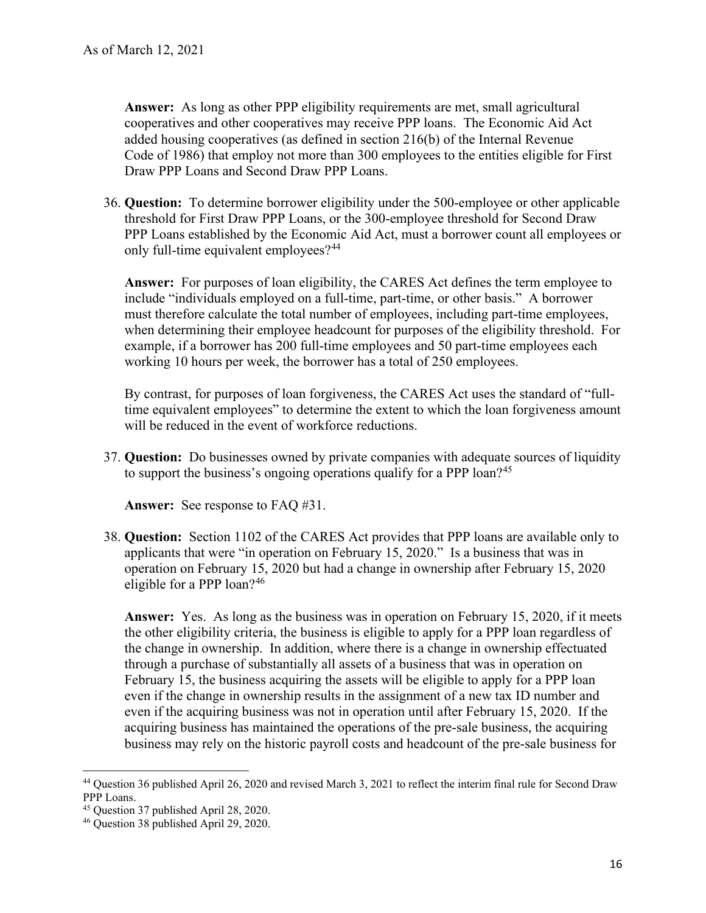**Answer:** As long as other PPP eligibility requirements are met, small agricultural cooperatives and other cooperatives may receive PPP loans. The Economic Aid Act added housing cooperatives (as defined in section 216(b) of the Internal Revenue Code of 1986) that employ not more than 300 employees to the entities eligible for First Draw PPP Loans and Second Draw PPP Loans.

 36. **Question:** To determine borrower eligibility under the 500-employee or other applicable threshold for First Draw PPP Loans, or the 300-employee threshold for Second Draw PPP Loans established by the Economic Aid Act, must a borrower count all employees or only full-time equivalent employees?<sup>44</sup>

 **Answer:** For purposes of loan eligibility, the CARES Act defines the term employee to include "individuals employed on a full-time, part-time, or other basis." A borrower must therefore calculate the total number of employees, including part-time employees, when determining their employee headcount for purposes of the eligibility threshold. For example, if a borrower has 200 full-time employees and 50 part-time employees each working 10 hours per week, the borrower has a total of 250 employees.

By contrast, for purposes of loan forgiveness, the CARES Act uses the standard of "fulltime equivalent employees" to determine the extent to which the loan forgiveness amount will be reduced in the event of workforce reductions.

 37. **Question:** Do businesses owned by private companies with adequate sources of liquidity to support the business's ongoing operations qualify for a PPP loan?<sup>[45](#page-15-1)</sup>

**Answer:** See response to FAQ #31.

 38. **Question:** Section 1102 of the CARES Act provides that PPP loans are available only to applicants that were "in operation on February 15, 2020." Is a business that was in operation on February 15, 2020 but had a change in ownership after February 15, 2020 eligible for a PPP loan?[46](#page-15-2) 

 **Answer:** Yes. As long as the business was in operation on February 15, 2020, if it meets February 15, the business acquiring the assets will be eligible to apply for a PPP loan even if the acquiring business was not in operation until after February 15, 2020. If the business may rely on the historic payroll costs and headcount of the pre-sale business for the other eligibility criteria, the business is eligible to apply for a PPP loan regardless of the change in ownership. In addition, where there is a change in ownership effectuated through a purchase of substantially all assets of a business that was in operation on even if the change in ownership results in the assignment of a new tax ID number and acquiring business has maintained the operations of the pre-sale business, the acquiring

<span id="page-15-0"></span><sup>&</sup>lt;sup>44</sup> Question 36 published April 26, 2020 and revised March 3, 2021 to reflect the interim final rule for Second Draw PPP Loans.

<span id="page-15-2"></span><span id="page-15-1"></span><sup>&</sup>lt;sup>45</sup> Question 37 published April 28, 2020.

 $45$  Question 37 published April 28, 2020.<br> $46$  Question 38 published April 29, 2020.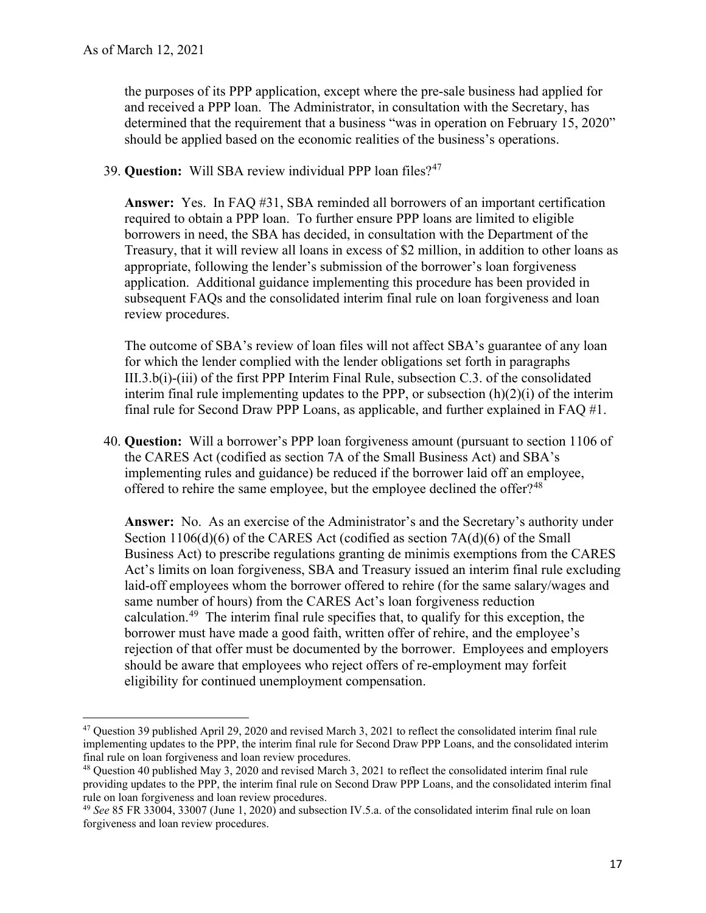the purposes of its PPP application, except where the pre-sale business had applied for and received a PPP loan. The Administrator, in consultation with the Secretary, has determined that the requirement that a business "was in operation on February 15, 2020" should be applied based on the economic realities of the business's operations.

## 39. **Question:** Will SBA review individual PPP loan files?<sup>[47](#page-16-0)</sup>

 **Answer:** Yes. In FAQ #31, SBA reminded all borrowers of an important certification required to obtain a PPP loan. To further ensure PPP loans are limited to eligible appropriate, following the lender's submission of the borrower's loan forgiveness application. Additional guidance implementing this procedure has been provided in borrowers in need, the SBA has decided, in consultation with the Department of the Treasury, that it will review all loans in excess of \$2 million, in addition to other loans as subsequent FAQs and the consolidated interim final rule on loan forgiveness and loan review procedures.

 The outcome of SBA's review of loan files will not affect SBA's guarantee of any loan for which the lender complied with the lender obligations set forth in paragraphs III.3.b(i)-(iii) of the first PPP Interim Final Rule, subsection C.3. of the consolidated interim final rule implementing updates to the PPP, or subsection (h)(2)(i) of the interim final rule for Second Draw PPP Loans, as applicable, and further explained in FAQ #1.

 40. **Question:** Will a borrower's PPP loan forgiveness amount (pursuant to section 1106 of the CARES Act (codified as section 7A of the Small Business Act) and SBA's offered to rehire the same employee, but the employee declined the offer?<sup>[48](#page-16-1)</sup> implementing rules and guidance) be reduced if the borrower laid off an employee,

 **Answer:** No. As an exercise of the Administrator's and the Secretary's authority under laid-off employees whom the borrower offered to rehire (for the same salary/wages and calculation.<sup>[49](#page-16-2)</sup> The interim final rule specifies that, to qualify for this exception, the rejection of that offer must be documented by the borrower. Employees and employers Section 1106(d)(6) of the CARES Act (codified as section 7A(d)(6) of the Small Business Act) to prescribe regulations granting de minimis exemptions from the CARES Act's limits on loan forgiveness, SBA and Treasury issued an interim final rule excluding same number of hours) from the CARES Act's loan forgiveness reduction borrower must have made a good faith, written offer of rehire, and the employee's should be aware that employees who reject offers of re-employment may forfeit eligibility for continued unemployment compensation.

<span id="page-16-0"></span> $47$  Question 39 published April 29, 2020 and revised March 3, 2021 to reflect the consolidated interim final rule implementing updates to the PPP, the interim final rule for Second Draw PPP Loans, and the consolidated interim final rule on loan forgiveness and loan review procedures.

<span id="page-16-1"></span>final rule on loan forgiveness and loan review procedures.<br><sup>48</sup> Question 40 published May 3, 2020 and revised March 3, 2021 to reflect the consolidated interim final rule providing updates to the PPP, the interim final rule on Second Draw PPP Loans, and the consolidated interim final rule on loan forgiveness and loan review procedures.

<span id="page-16-2"></span> <sup>49</sup>*See* 85 FR 33004, 33007 (June 1, 2020) and subsection IV.5.a. of the consolidated interim final rule on loan forgiveness and loan review procedures.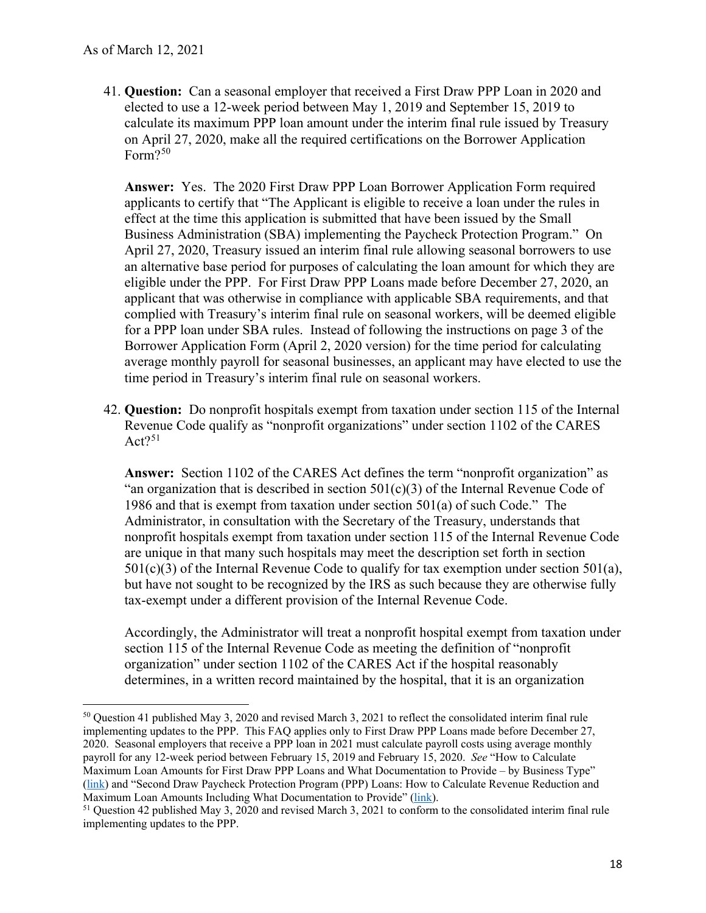41. **Question:** Can a seasonal employer that received a First Draw PPP Loan in 2020 and calculate its maximum PPP loan amount under the interim final rule issued by Treasury on April 27, 2020, make all the required certifications on the Borrower Application Form?<sup>50</sup> elected to use a 12-week period between May 1, 2019 and September 15, 2019 to

 **Answer:** Yes. The 2020 First Draw PPP Loan Borrower Application Form required April 27, 2020, Treasury issued an interim final rule allowing seasonal borrowers to use an alternative base period for purposes of calculating the loan amount for which they are average monthly payroll for seasonal businesses, an applicant may have elected to use the applicants to certify that "The Applicant is eligible to receive a loan under the rules in effect at the time this application is submitted that have been issued by the Small Business Administration (SBA) implementing the Paycheck Protection Program." On eligible under the PPP. For First Draw PPP Loans made before December 27, 2020, an applicant that was otherwise in compliance with applicable SBA requirements, and that complied with Treasury's interim final rule on seasonal workers, will be deemed eligible for a PPP loan under SBA rules. Instead of following the instructions on page 3 of the Borrower Application Form (April 2, 2020 version) for the time period for calculating time period in Treasury's interim final rule on seasonal workers.

 42. **Question:** Do nonprofit hospitals exempt from taxation under section 115 of the Internal Revenue Code qualify as "nonprofit organizations" under section 1102 of the CARES  $Act?^{51}$  $Act?^{51}$  $Act?^{51}$ 

 **Answer:** Section 1102 of the CARES Act defines the term "nonprofit organization" as 1986 and that is exempt from taxation under section 501(a) of such Code." The  $501(c)(3)$  of the Internal Revenue Code to qualify for tax exemption under section  $501(a)$ , but have not sought to be recognized by the IRS as such because they are otherwise fully "an organization that is described in section  $501(c)(3)$  of the Internal Revenue Code of Administrator, in consultation with the Secretary of the Treasury, understands that nonprofit hospitals exempt from taxation under section 115 of the Internal Revenue Code are unique in that many such hospitals may meet the description set forth in section tax-exempt under a different provision of the Internal Revenue Code.

 organization" under section 1102 of the CARES Act if the hospital reasonably determines, in a written record maintained by the hospital, that it is an organization Accordingly, the Administrator will treat a nonprofit hospital exempt from taxation under section 115 of the Internal Revenue Code as meeting the definition of "nonprofit

<span id="page-17-0"></span><sup>&</sup>lt;sup>50</sup> Question 41 published May 3, 2020 and revised March 3, 2021 to reflect the consolidated interim final rule implementing updates to the PPP. This FAQ applies only to First Draw PPP Loans made before December 27, 2020. Seasonal employers that receive a PPP loan in 2021 must calculate payroll costs using average monthly payroll for any 12-week period between February 15, 2019 and February 15, 2020. *See* "How to Calculate Maximum Loan Amounts for First Draw PPP Loans and What Documentation to Provide – by Business Type" [\(link\)](https://home.treasury.gov/system/files/136/PPP--How-to-Calculate-Maximum-Loan-Amounts-for-First-Draw-PPP-Loans-and-What-Documentation-to-Provide-By-Business-Type.pdf) and "Second Draw Paycheck Protection Program (PPP) Loans: How to Calculate Revenue Reduction and

<span id="page-17-1"></span>Maximum Loan Amounts Including What Documentation to Provide" (<u>link</u>).<br><sup>51</sup> Question 42 published May 3, 2020 and revised March 3, 2021 to conform to the consolidated interim final rule implementing updates to the PPP.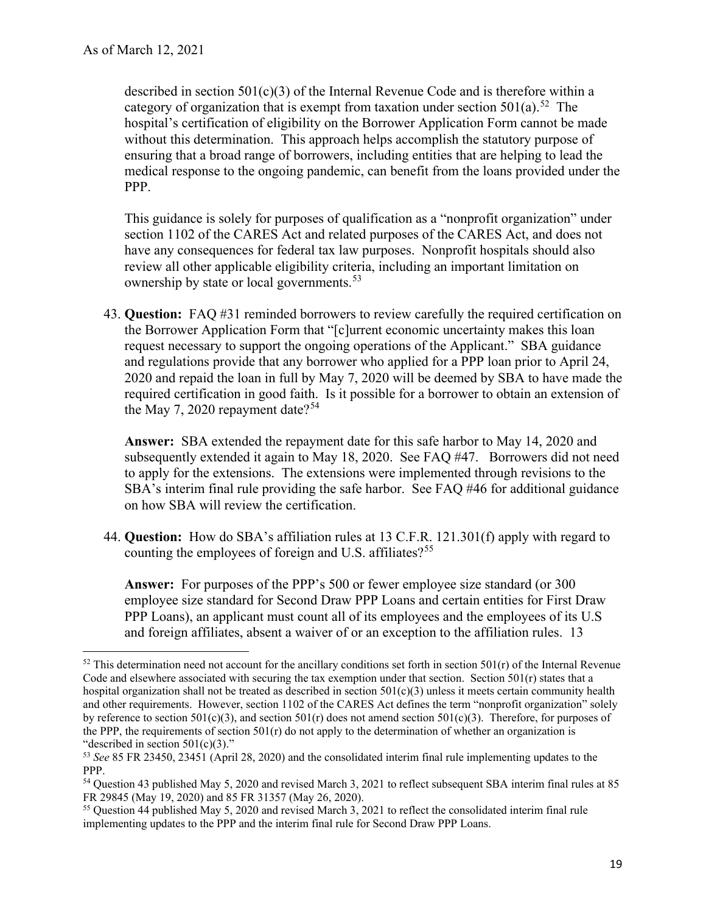category of organization that is exempt from taxation under section  $501(a)$ .<sup>52</sup> The medical response to the ongoing pandemic, can benefit from the loans provided under the described in section 501(c)(3) of the Internal Revenue Code and is therefore within a hospital's certification of eligibility on the Borrower Application Form cannot be made without this determination. This approach helps accomplish the statutory purpose of ensuring that a broad range of borrowers, including entities that are helping to lead the PPP.

 review all other applicable eligibility criteria, including an important limitation on This guidance is solely for purposes of qualification as a "nonprofit organization" under section 1102 of the CARES Act and related purposes of the CARES Act, and does not have any consequences for federal tax law purposes. Nonprofit hospitals should also ownership by state or local governments.<sup>53</sup>

 43. **Question:** FAQ #31 reminded borrowers to review carefully the required certification on the Borrower Application Form that "[c]urrent economic uncertainty makes this loan request necessary to support the ongoing operations of the Applicant." SBA guidance and regulations provide that any borrower who applied for a PPP loan prior to April 24, 2020 and repaid the loan in full by May 7, 2020 will be deemed by SBA to have made the required certification in good faith. Is it possible for a borrower to obtain an extension of the May 7, 2020 repayment date?<sup>[54](#page-18-2)</sup>

 **Answer:** SBA extended the repayment date for this safe harbor to May 14, 2020 and SBA's interim final rule providing the safe harbor. See FAQ #46 for additional guidance on how SBA will review the certification. subsequently extended it again to May 18, 2020. See FAQ #47. Borrowers did not need to apply for the extensions. The extensions were implemented through revisions to the

 44. **Question:** How do SBA's affiliation rules at 13 C.F.R. 121.301(f) apply with regard to counting the employees of foreign and U.S. affiliates?<sup>[55](#page-18-3)</sup>

 and foreign affiliates, absent a waiver of or an exception to the affiliation rules. 13 **Answer:** For purposes of the PPP's 500 or fewer employee size standard (or 300 employee size standard for Second Draw PPP Loans and certain entities for First Draw PPP Loans), an applicant must count all of its employees and the employees of its U.S

<span id="page-18-0"></span> $52$  This determination need not account for the ancillary conditions set forth in section  $501(r)$  of the Internal Revenue Code and elsewhere associated with securing the tax exemption under that section. Section 501(r) states that a hospital organization shall not be treated as described in section 501(c)(3) unless it meets certain community health and other requirements. However, section 1102 of the CARES Act defines the term "nonprofit organization" solely by reference to section 501(c)(3), and section 501(r) does not amend section 501(c)(3). Therefore, for purposes of the PPP, the requirements of section  $501(r)$  do not apply to the determination of whether an organization is "described in section  $501(c)(3)$ ." "described in section 501(c)(3)."<br><sup>53</sup> *See* 85 FR 23450, 23451 (April 28, 2020) and the consolidated interim final rule implementing updates to the

<span id="page-18-1"></span>PPP.

<span id="page-18-2"></span><sup>&</sup>lt;sup>54</sup> Question 43 published May 5, 2020 and revised March 3, 2021 to reflect subsequent SBA interim final rules at 85 FR 29845 (May 19, 2020) and 85 FR 31357 (May 26, 2020).

<span id="page-18-3"></span><sup>&</sup>lt;sup>55</sup> Question 44 published May 5, 2020 and revised March 3, 2021 to reflect the consolidated interim final rule implementing updates to the PPP and the interim final rule for Second Draw PPP Loans.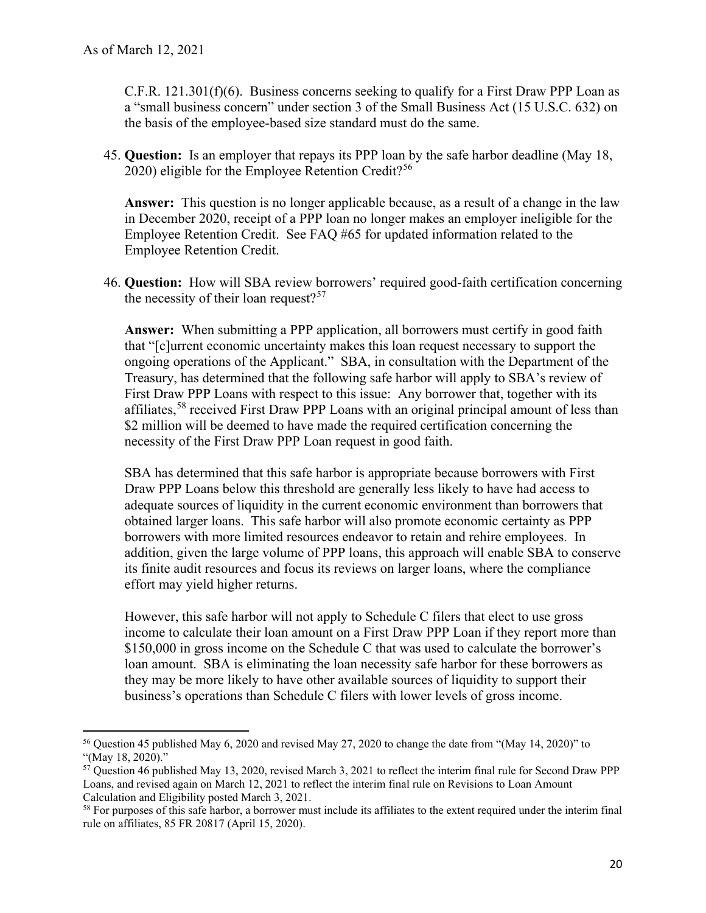a "small business concern" under section 3 of the Small Business Act (15 U.S.C. 632) on  $C.F.R. 121.301(f)(6)$ . Business concerns seeking to qualify for a First Draw PPP Loan as the basis of the employee-based size standard must do the same.

 45. **Question:** Is an employer that repays its PPP loan by the safe harbor deadline (May 18, 2020) eligible for the Employee Retention Credit?<sup>56</sup>

 **Answer:** This question is no longer applicable because, as a result of a change in the law in December 2020, receipt of a PPP loan no longer makes an employer ineligible for the Employee Retention Credit. See FAQ #65 for updated information related to the Employee Retention Credit.

 46. **Question:** How will SBA review borrowers' required good-faith certification concerning the necessity of their loan request?<sup>57</sup>

 that "[c]urrent economic uncertainty makes this loan request necessary to support the ongoing operations of the Applicant." SBA, in consultation with the Department of the First Draw PPP Loans with respect to this issue: Any borrower that, together with its affiliates,<sup>58</sup> received First Draw PPP Loans with an original principal amount of less than **Answer:** When submitting a PPP application, all borrowers must certify in good faith Treasury, has determined that the following safe harbor will apply to SBA's review of \$2 million will be deemed to have made the required certification concerning the necessity of the First Draw PPP Loan request in good faith.

 obtained larger loans. This safe harbor will also promote economic certainty as PPP SBA has determined that this safe harbor is appropriate because borrowers with First Draw PPP Loans below this threshold are generally less likely to have had access to adequate sources of liquidity in the current economic environment than borrowers that borrowers with more limited resources endeavor to retain and rehire employees. In addition, given the large volume of PPP loans, this approach will enable SBA to conserve its finite audit resources and focus its reviews on larger loans, where the compliance effort may yield higher returns.

 However, this safe harbor will not apply to Schedule C filers that elect to use gross business's operations than Schedule C filers with lower levels of gross income. income to calculate their loan amount on a First Draw PPP Loan if they report more than \$150,000 in gross income on the Schedule C that was used to calculate the borrower's loan amount. SBA is eliminating the loan necessity safe harbor for these borrowers as they may be more likely to have other available sources of liquidity to support their

<span id="page-19-0"></span> 56 Question 45 published May 6, 2020 and revised May 27, 2020 to change the date from "(May 14, 2020)" to "(May 18, 2020)."

<span id="page-19-1"></span> $57$  Question 46 published May 13, 2020, revised March 3, 2021 to reflect the interim final rule for Second Draw PPP Loans, and revised again on March 12, 2021 to reflect the interim final rule on Revisions to Loan Amount Calculation and Eligibility posted March 3, 2021.

<span id="page-19-2"></span> $58$  For purposes of this safe harbor, a borrower must include its affiliates to the extent required under the interim final rule on affiliates, 85 FR 20817 (April 15, 2020).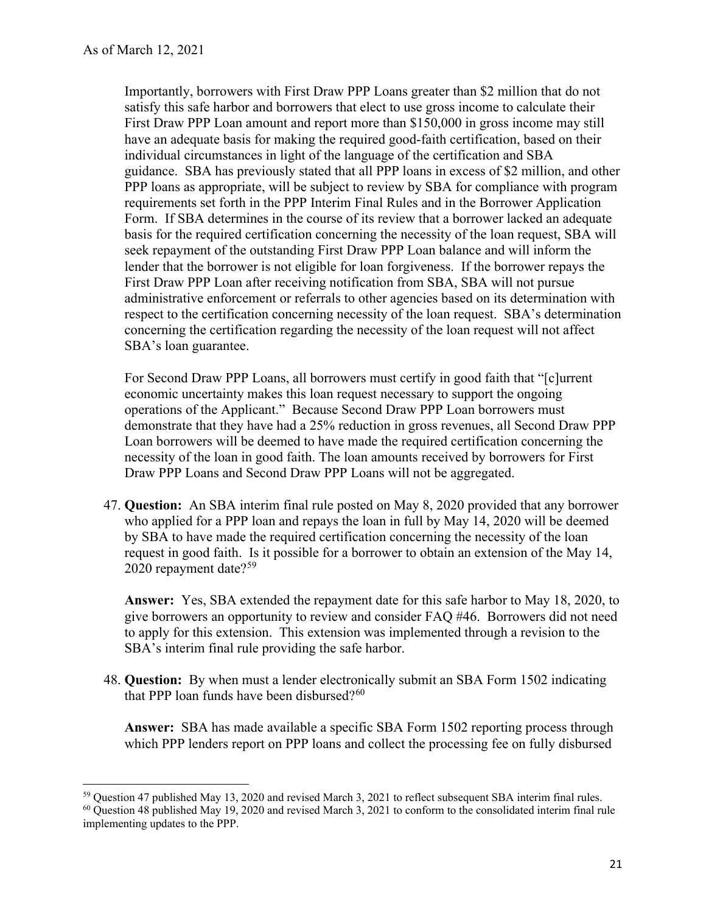Form. If SBA determines in the course of its review that a borrower lacked an adequate seek repayment of the outstanding First Draw PPP Loan balance and will inform the First Draw PPP Loan after receiving notification from SBA, SBA will not pursue administrative enforcement or referrals to other agencies based on its determination with Importantly, borrowers with First Draw PPP Loans greater than \$2 million that do not satisfy this safe harbor and borrowers that elect to use gross income to calculate their First Draw PPP Loan amount and report more than \$150,000 in gross income may still have an adequate basis for making the required good-faith certification, based on their individual circumstances in light of the language of the certification and SBA guidance. SBA has previously stated that all PPP loans in excess of \$2 million, and other PPP loans as appropriate, will be subject to review by SBA for compliance with program requirements set forth in the PPP Interim Final Rules and in the Borrower Application basis for the required certification concerning the necessity of the loan request, SBA will lender that the borrower is not eligible for loan forgiveness. If the borrower repays the respect to the certification concerning necessity of the loan request. SBA's determination concerning the certification regarding the necessity of the loan request will not affect SBA's loan guarantee.

 operations of the Applicant." Because Second Draw PPP Loan borrowers must For Second Draw PPP Loans, all borrowers must certify in good faith that "[c]urrent economic uncertainty makes this loan request necessary to support the ongoing demonstrate that they have had a 25% reduction in gross revenues, all Second Draw PPP Loan borrowers will be deemed to have made the required certification concerning the necessity of the loan in good faith. The loan amounts received by borrowers for First Draw PPP Loans and Second Draw PPP Loans will not be aggregated.

 47. **Question:** An SBA interim final rule posted on May 8, 2020 provided that any borrower who applied for a PPP loan and repays the loan in full by May 14, 2020 will be deemed by SBA to have made the required certification concerning the necessity of the loan request in good faith. Is it possible for a borrower to obtain an extension of the May 14, 2020 repayment date? $59$ 

 **Answer:** Yes, SBA extended the repayment date for this safe harbor to May 18, 2020, to SBA's interim final rule providing the safe harbor. give borrowers an opportunity to review and consider FAQ #46. Borrowers did not need to apply for this extension. This extension was implemented through a revision to the

 48. **Question:** By when must a lender electronically submit an SBA Form 1502 indicating that PPP loan funds have been disbursed? $60$ 

**Answer:** SBA has made available a specific SBA Form 1502 reporting process through which PPP lenders report on PPP loans and collect the processing fee on fully disbursed

<span id="page-20-1"></span><span id="page-20-0"></span> $59$  Ouestion 47 published May 13, 2020 and revised March 3, 2021 to reflect subsequent SBA interim final rules.

<sup>&</sup>lt;sup>59</sup> Question 47 published May 13, 2020 and revised March 3, 2021 to reflect subsequent SBA interim final rules.<br><sup>60</sup> Question 48 published May 19, 2020 and revised March 3, 2021 to conform to the consolidated interim fin implementing updates to the PPP.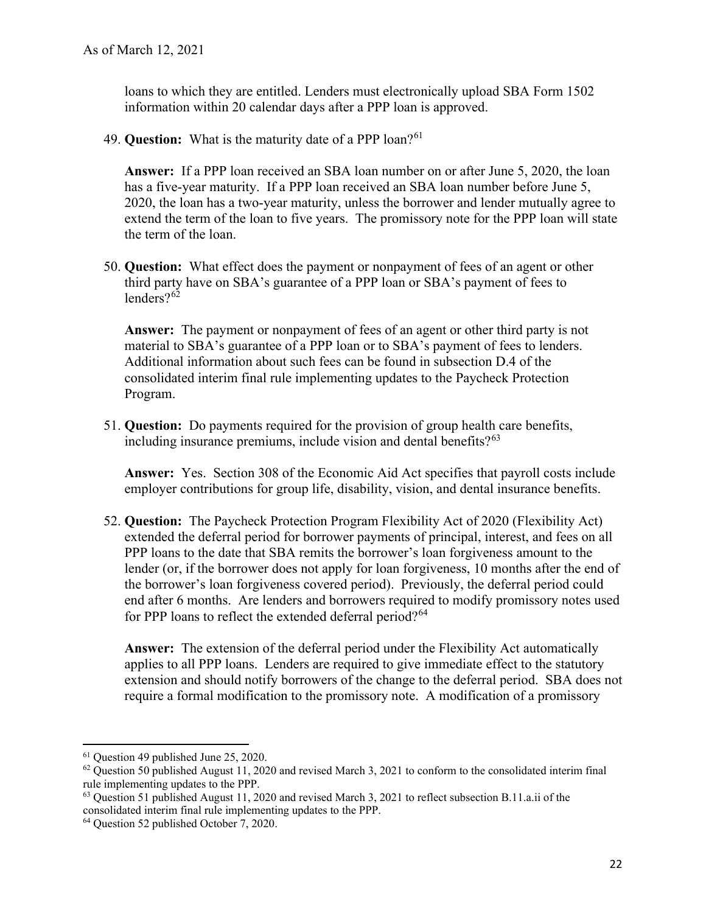loans to which they are entitled. Lenders must electronically upload SBA Form 1502 information within 20 calendar days after a PPP loan is approved.

49. **Question:** What is the maturity date of a PPP loan?<sup>[61](#page-21-0)</sup>

 **Answer:** If a PPP loan received an SBA loan number on or after June 5, 2020, the loan has a five-year maturity. If a PPP loan received an SBA loan number before June 5, 2020, the loan has a two-year maturity, unless the borrower and lender mutually agree to extend the term of the loan to five years. The promissory note for the PPP loan will state the term of the loan.

 50. **Question:** What effect does the payment or nonpayment of fees of an agent or other lenders?<sup>62</sup> third party have on SBA's guarantee of a PPP loan or SBA's payment of fees to

 material to SBA's guarantee of a PPP loan or to SBA's payment of fees to lenders. **Answer:** The payment or nonpayment of fees of an agent or other third party is not Additional information about such fees can be found in subsection D.4 of the consolidated interim final rule implementing updates to the Paycheck Protection Program.

 51. **Question:** Do payments required for the provision of group health care benefits, including insurance premiums, include vision and dental benefits?<sup>[63](#page-21-2)</sup>

 **Answer:** Yes. Section 308 of the Economic Aid Act specifies that payroll costs include employer contributions for group life, disability, vision, and dental insurance benefits.

52. **Question:** The Paycheck Protection Program Flexibility Act of 2020 (Flexibility Act) extended the deferral period for borrower payments of principal, interest, and fees on all PPP loans to the date that SBA remits the borrower's loan forgiveness amount to the lender (or, if the borrower does not apply for loan forgiveness, 10 months after the end of the borrower's loan forgiveness covered period). Previously, the deferral period could end after 6 months. Are lenders and borrowers required to modify promissory notes used for PPP loans to reflect the extended deferral period?<sup>[64](#page-21-3)</sup>

 **Answer:** The extension of the deferral period under the Flexibility Act automatically extension and should notify borrowers of the change to the deferral period. SBA does not require a formal modification to the promissory note. A modification of a promissory applies to all PPP loans. Lenders are required to give immediate effect to the statutory

<span id="page-21-1"></span><span id="page-21-0"></span> $61$  Ouestion 49 published June 25, 2020.

<sup>&</sup>lt;sup>61</sup> Question 49 published June 25, 2020.<br><sup>62</sup> Question 50 published August 11, 2020 and revised March 3, 2021 to conform to the consolidated interim final rule implementing updates to the PPP.

<span id="page-21-2"></span> $63$  Question 51 published August 11, 2020 and revised March 3, 2021 to reflect subsection B.11.a.ii of the consolidated interim final rule implementing updates to the PPP. 64 Question 52 published October 7, 2020.

<span id="page-21-3"></span><sup>&</sup>lt;sup>64</sup> Question 52 published October 7, 2020.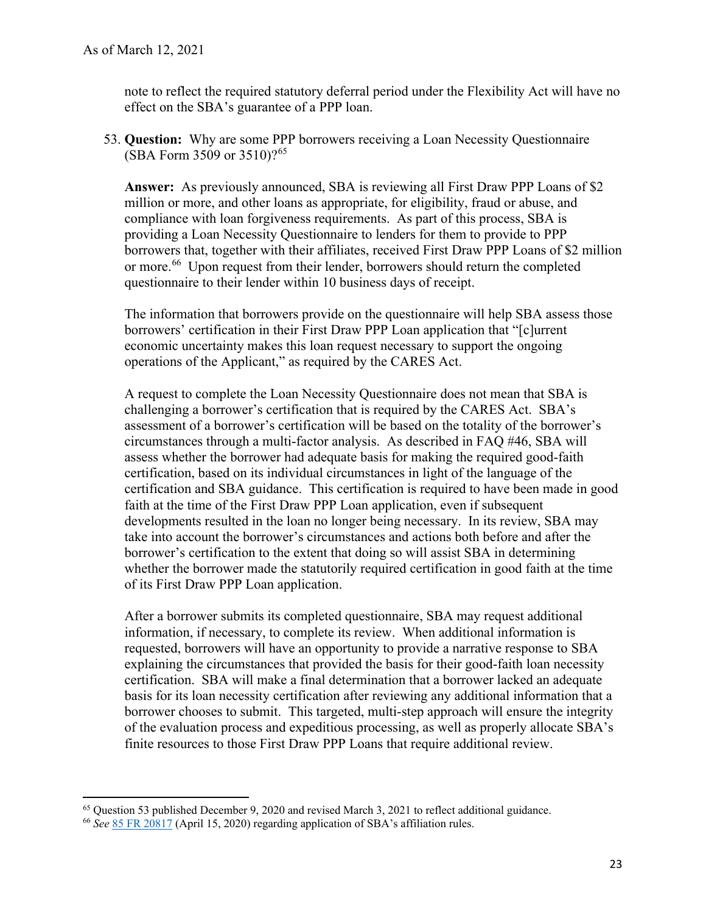note to reflect the required statutory deferral period under the Flexibility Act will have no effect on the SBA's guarantee of a PPP loan.

 53. **Question:** Why are some PPP borrowers receiving a Loan Necessity Questionnaire (SBA Form 3509 or 3510)?[65](#page-22-0)

or more.<sup>[66](#page-22-1)</sup> Upon request from their lender, borrowers should return the completed **Answer:** As previously announced, SBA is reviewing all First Draw PPP Loans of \$2 million or more, and other loans as appropriate, for eligibility, fraud or abuse, and compliance with loan forgiveness requirements. As part of this process, SBA is providing a Loan Necessity Questionnaire to lenders for them to provide to PPP borrowers that, together with their affiliates, received First Draw PPP Loans of \$2 million questionnaire to their lender within 10 business days of receipt.

The information that borrowers provide on the questionnaire will help SBA assess those borrowers' certification in their First Draw PPP Loan application that "[c]urrent economic uncertainty makes this loan request necessary to support the ongoing operations of the Applicant," as required by the CARES Act.

 challenging a borrower's certification that is required by the CARES Act. SBA's assessment of a borrower's certification will be based on the totality of the borrower's circumstances through a multi-factor analysis. As described in FAQ #46, SBA will certification, based on its individual circumstances in light of the language of the faith at the time of the First Draw PPP Loan application, even if subsequent whether the borrower made the statutorily required certification in good faith at the time A request to complete the Loan Necessity Questionnaire does not mean that SBA is assess whether the borrower had adequate basis for making the required good-faith certification and SBA guidance. This certification is required to have been made in good developments resulted in the loan no longer being necessary. In its review, SBA may take into account the borrower's circumstances and actions both before and after the borrower's certification to the extent that doing so will assist SBA in determining of its First Draw PPP Loan application.

 borrower chooses to submit. This targeted, multi-step approach will ensure the integrity After a borrower submits its completed questionnaire, SBA may request additional information, if necessary, to complete its review. When additional information is requested, borrowers will have an opportunity to provide a narrative response to SBA explaining the circumstances that provided the basis for their good-faith loan necessity certification. SBA will make a final determination that a borrower lacked an adequate basis for its loan necessity certification after reviewing any additional information that a of the evaluation process and expeditious processing, as well as properly allocate SBA's finite resources to those First Draw PPP Loans that require additional review.

<span id="page-22-1"></span><span id="page-22-0"></span> $<sup>65</sup>$  Question 53 published December 9, 2020 and revised March 3, 2021 to reflect additional guidance.</sup> 65 Question 53 published December 9, 2020 and revised March 3, 2021 to reflect additional guidance. 66 *See* [85 FR 20817](https://www.govinfo.gov/content/pkg/FR-2020-04-15/pdf/2020-07673.pdf) (April 15, 2020) regarding application of SBA's affiliation rules.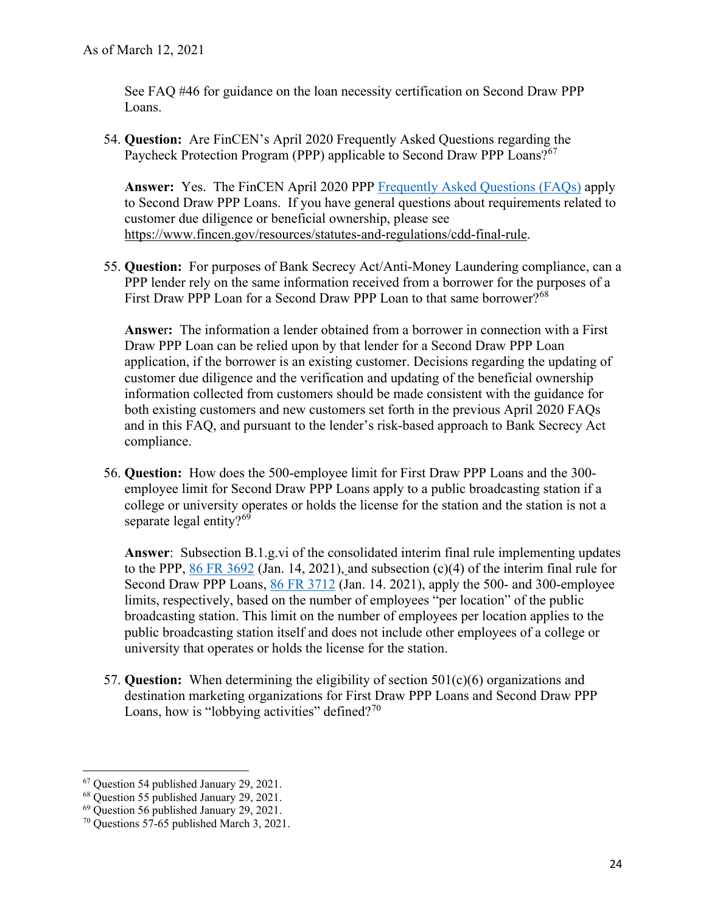See FAQ #46 for guidance on the loan necessity certification on Second Draw PPP Loans.

Paycheck Protection Program (PPP) applicable to Second Draw PPP Loans?<sup>[67](#page-23-0)</sup> 54. **Question:** Are FinCEN's April 2020 Frequently Asked Questions regarding the

 to Second Draw PPP Loans. If you have general questions about requirements related to customer due diligence or beneficial ownership, please see **Answer:** Yes. The FinCEN April 2020 PPP [Frequently Asked Questions \(FAQs\)](https://www.fincen.gov/sites/default/files/2020-04/Paycheck_Protection_Program_FAQs.pdf) apply [https://www.fincen.gov/resources/statutes-and-regulations/cdd-final-rule.](https://www.fincen.gov/resources/statutes-and-regulations/cdd-final-rule)

55. **Question:** For purposes of Bank Secrecy Act/Anti-Money Laundering compliance, can a PPP lender rely on the same information received from a borrower for the purposes of a First Draw PPP Loan for a Second Draw PPP Loan to that same borrower?<sup>[68](#page-23-1)</sup>

 **Answe**r**:** The information a lender obtained from a borrower in connection with a First information collected from customers should be made consistent with the guidance for Draw PPP Loan can be relied upon by that lender for a Second Draw PPP Loan application, if the borrower is an existing customer. Decisions regarding the updating of customer due diligence and the verification and updating of the beneficial ownership both existing customers and new customers set forth in the previous April 2020 FAQs and in this FAQ, and pursuant to the lender's risk-based approach to Bank Secrecy Act compliance.

 56. **Question:** How does the 500-employee limit for First Draw PPP Loans and the 300- employee limit for Second Draw PPP Loans apply to a public broadcasting station if a college or university operates or holds the license for the station and the station is not a separate legal entity? $69$ 

 **Answer**: Subsection B.1.g.vi of the consolidated interim final rule implementing updates broadcasting station. This limit on the number of employees per location applies to the university that operates or holds the license for the station. to the PPP,  $86$  FR  $3692$  (Jan. 14, 2021), and subsection (c)(4) of the interim final rule for Second Draw PPP Loans, [86 FR 3712](https://www.govinfo.gov/content/pkg/FR-2021-01-14/pdf/2021-00452.pdf) (Jan. 14. 2021), apply the 500- and 300-employee limits, respectively, based on the number of employees "per location" of the public public broadcasting station itself and does not include other employees of a college or

university that operates or holds the license for the station.<br>57. **Question:** When determining the eligibility of section 501(c)(6) organizations and Loans, how is "lobbying activities" defined? $70$ destination marketing organizations for First Draw PPP Loans and Second Draw PPP

<span id="page-23-0"></span><sup>&</sup>lt;sup>67</sup> Question 54 published January 29, 2021.<br><sup>68</sup> Question 55 published January 29, 2021.<br><sup>69</sup> Question 56 published January 29, 2021.

<span id="page-23-1"></span>

<span id="page-23-2"></span>

<span id="page-23-3"></span> $70$  Questions 57-65 published March 3, 2021.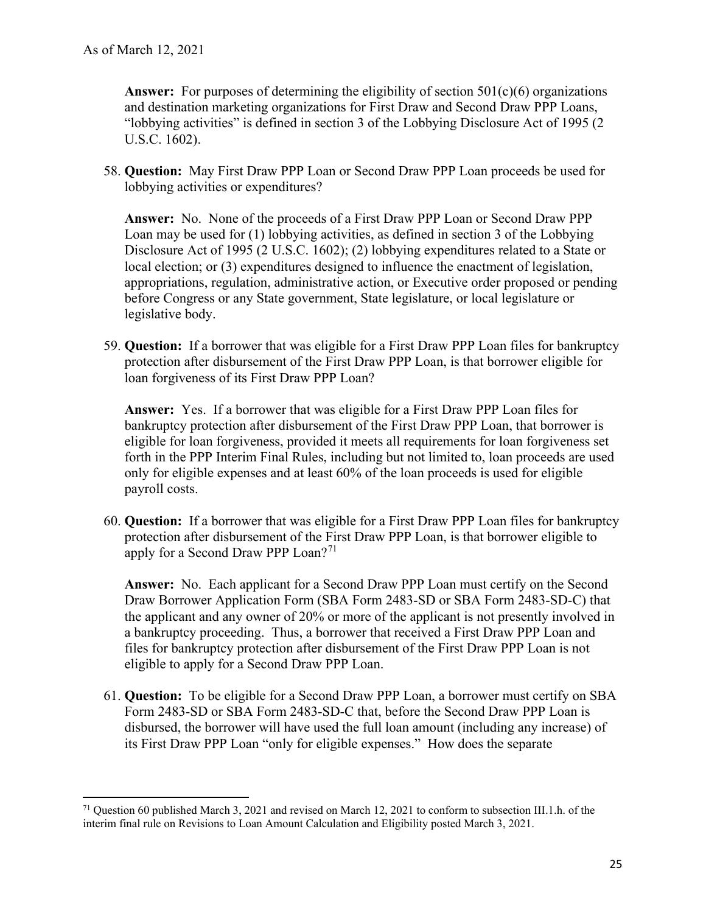**Answer:** For purposes of determining the eligibility of section 501(c)(6) organizations and destination marketing organizations for First Draw and Second Draw PPP Loans, "lobbying activities" is defined in section 3 of the Lobbying Disclosure Act of 1995 (2 U.S.C. 1602).

 58. **Question:** May First Draw PPP Loan or Second Draw PPP Loan proceeds be used for lobbying activities or expenditures?

 Disclosure Act of 1995 (2 U.S.C. 1602); (2) lobbying expenditures related to a State or local election; or (3) expenditures designed to influence the enactment of legislation, before Congress or any State government, State legislature, or local legislature or **Answer:** No. None of the proceeds of a First Draw PPP Loan or Second Draw PPP Loan may be used for (1) lobbying activities, as defined in section 3 of the Lobbying appropriations, regulation, administrative action, or Executive order proposed or pending legislative body.

 59. **Question:** If a borrower that was eligible for a First Draw PPP Loan files for bankruptcy protection after disbursement of the First Draw PPP Loan, is that borrower eligible for loan forgiveness of its First Draw PPP Loan?

 **Answer:** Yes. If a borrower that was eligible for a First Draw PPP Loan files for bankruptcy protection after disbursement of the First Draw PPP Loan, that borrower is forth in the PPP Interim Final Rules, including but not limited to, loan proceeds are used only for eligible expenses and at least 60% of the loan proceeds is used for eligible eligible for loan forgiveness, provided it meets all requirements for loan forgiveness set payroll costs.

 60. **Question:** If a borrower that was eligible for a First Draw PPP Loan files for bankruptcy apply for a Second Draw PPP Loan?<sup>71</sup> protection after disbursement of the First Draw PPP Loan, is that borrower eligible to

**Answer:** No. Each applicant for a Second Draw PPP Loan must certify on the Second Draw Borrower Application Form (SBA Form 2483-SD or SBA Form 2483-SD-C) that the applicant and any owner of 20% or more of the applicant is not presently involved in a bankruptcy proceeding. Thus, a borrower that received a First Draw PPP Loan and files for bankruptcy protection after disbursement of the First Draw PPP Loan is not eligible to apply for a Second Draw PPP Loan.

 61. **Question:** To be eligible for a Second Draw PPP Loan, a borrower must certify on SBA its First Draw PPP Loan "only for eligible expenses." How does the separate Form 2483-SD or SBA Form 2483-SD-C that, before the Second Draw PPP Loan is disbursed, the borrower will have used the full loan amount (including any increase) of

<span id="page-24-0"></span> $71$  Question 60 published March 3, 2021 and revised on March 12, 2021 to conform to subsection III.1.h. of the interim final rule on Revisions to Loan Amount Calculation and Eligibility posted March 3, 2021.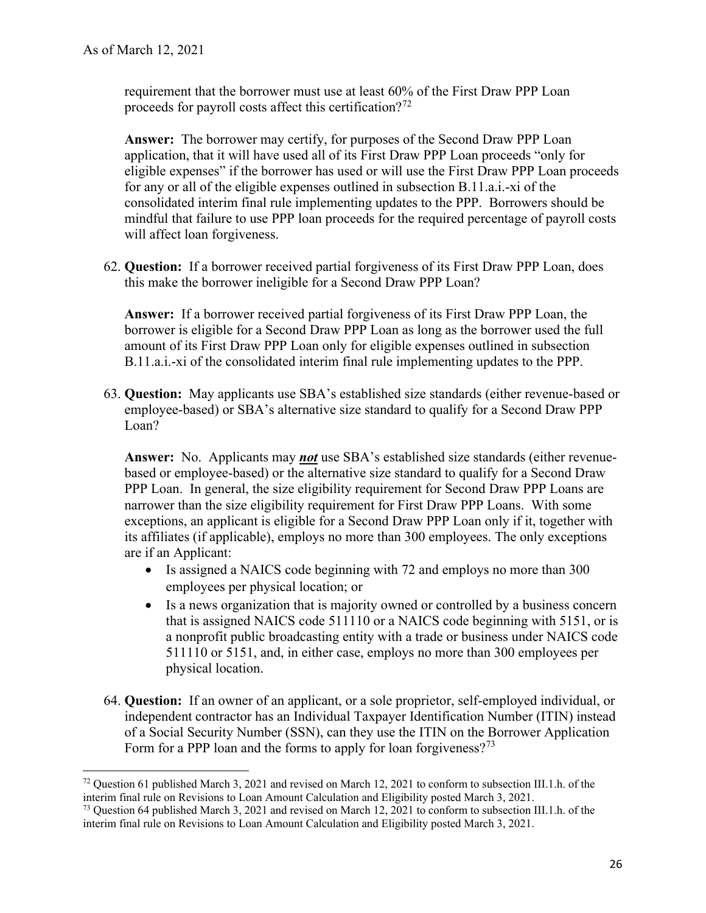requirement that the borrower must use at least 60% of the First Draw PPP Loan proceeds for payroll costs affect this certification?<sup>[72](#page-25-0)</sup>

 **Answer:** The borrower may certify, for purposes of the Second Draw PPP Loan for any or all of the eligible expenses outlined in subsection B.11.a.i.-xi of the mindful that failure to use PPP loan proceeds for the required percentage of payroll costs application, that it will have used all of its First Draw PPP Loan proceeds "only for eligible expenses" if the borrower has used or will use the First Draw PPP Loan proceeds consolidated interim final rule implementing updates to the PPP. Borrowers should be will affect loan forgiveness.

 62. **Question:** If a borrower received partial forgiveness of its First Draw PPP Loan, does this make the borrower ineligible for a Second Draw PPP Loan?

 **Answer:** If a borrower received partial forgiveness of its First Draw PPP Loan, the borrower is eligible for a Second Draw PPP Loan as long as the borrower used the full B.11.a.i.-xi of the consolidated interim final rule implementing updates to the PPP. amount of its First Draw PPP Loan only for eligible expenses outlined in subsection

 63. **Question:** May applicants use SBA's established size standards (either revenue-based or employee-based) or SBA's alternative size standard to qualify for a Second Draw PPP Loan?

 **Answer:** No. Applicants may *not* use SBA's established size standards (either revenue- narrower than the size eligibility requirement for First Draw PPP Loans. With some are if an Applicant: based or employee-based) or the alternative size standard to qualify for a Second Draw PPP Loan. In general, the size eligibility requirement for Second Draw PPP Loans are exceptions, an applicant is eligible for a Second Draw PPP Loan only if it, together with its affiliates (if applicable), employs no more than 300 employees. The only exceptions

- employees per physical location; or • Is assigned a NAICS code beginning with 72 and employs no more than 300
- Is a news organization that is majority owned or controlled by a business concern that is assigned NAICS code 511110 or a NAICS code beginning with 5151, or is a nonprofit public broadcasting entity with a trade or business under NAICS code 511110 or 5151, and, in either case, employs no more than 300 employees per physical location.
- Form for a PPP loan and the forms to apply for loan forgiveness?<sup>73</sup> 64. **Question:** If an owner of an applicant, or a sole proprietor, self-employed individual, or independent contractor has an Individual Taxpayer Identification Number (ITIN) instead of a Social Security Number (SSN), can they use the ITIN on the Borrower Application

<span id="page-25-0"></span> $72$  Question 61 published March 3, 2021 and revised on March 12, 2021 to conform to subsection III.1.h. of the interim final rule on Revisions to Loan Amount Calculation and Eligibility posted March 3, 2021.

<span id="page-25-1"></span>interim final rule on Revisions to Loan Amount Calculation and Eligibility posted March 3, 2021.<br><sup>73</sup> Question 64 published March 3, 2021 and revised on March 12, 2021 to conform to subsection III.1.h. of the interim final rule on Revisions to Loan Amount Calculation and Eligibility posted March 3, 2021.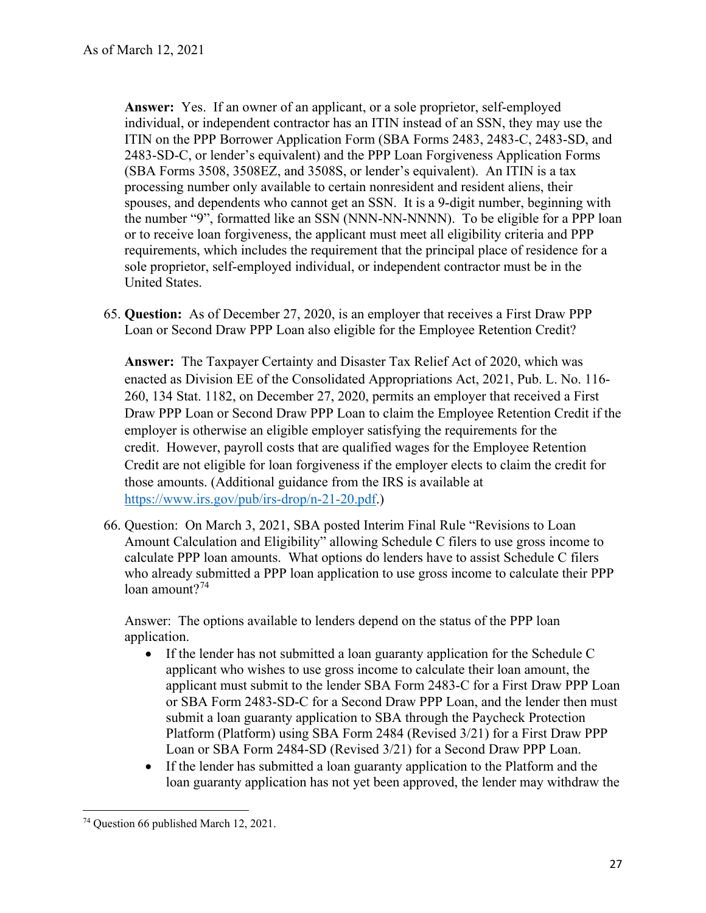individual, or independent contractor has an ITIN instead of an SSN, they may use the **Answer:** Yes. If an owner of an applicant, or a sole proprietor, self-employed ITIN on the PPP Borrower Application Form (SBA Forms 2483, 2483-C, 2483-SD, and 2483-SD-C, or lender's equivalent) and the PPP Loan Forgiveness Application Forms (SBA Forms 3508, 3508EZ, and 3508S, or lender's equivalent). An ITIN is a tax processing number only available to certain nonresident and resident aliens, their spouses, and dependents who cannot get an SSN. It is a 9-digit number, beginning with the number "9", formatted like an SSN (NNN-NN-NNNN). To be eligible for a PPP loan or to receive loan forgiveness, the applicant must meet all eligibility criteria and PPP requirements, which includes the requirement that the principal place of residence for a sole proprietor, self-employed individual, or independent contractor must be in the United States.

 65. **Question:** As of December 27, 2020, is an employer that receives a First Draw PPP Loan or Second Draw PPP Loan also eligible for the Employee Retention Credit?

 **Answer:** The Taxpayer Certainty and Disaster Tax Relief Act of 2020, which was employer is otherwise an eligible employer satisfying the requirements for the credit. However, payroll costs that are qualified wages for the Employee Retention enacted as Division EE of the Consolidated Appropriations Act, 2021, Pub. L. No. 116- 260, 134 Stat. 1182, on December 27, 2020, permits an employer that received a First Draw PPP Loan or Second Draw PPP Loan to claim the Employee Retention Credit if the Credit are not eligible for loan forgiveness if the employer elects to claim the credit for those amounts. (Additional guidance from the IRS is available at [https://www.irs.gov/pub/irs-drop/n-21-20.pdf.](https://www.irs.gov/pub/irs-drop/n-21-20.pdf))

66. Question: On March 3, 2021, SBA posted Interim Final Rule "Revisions to Loan Amount Calculation and Eligibility" allowing Schedule C filers to use gross income to calculate PPP loan amounts. What options do lenders have to assist Schedule C filers who already submitted a PPP loan application to use gross income to calculate their PPP loan amount? $74$ 

 Answer: The options available to lenders depend on the status of the PPP loan application.

- If the lender has not submitted a loan guaranty application for the Schedule C applicant who wishes to use gross income to calculate their loan amount, the applicant must submit to the lender SBA Form 2483-C for a First Draw PPP Loan or SBA Form 2483-SD-C for a Second Draw PPP Loan, and the lender then must submit a loan guaranty application to SBA through the Paycheck Protection Platform (Platform) using SBA Form 2484 (Revised 3/21) for a First Draw PPP Loan or SBA Form 2484-SD (Revised 3/21) for a Second Draw PPP Loan.
- • If the lender has submitted a loan guaranty application to the Platform and the loan guaranty application has not yet been approved, the lender may withdraw the

<span id="page-26-0"></span><sup>74</sup> Question 66 published March 12, 2021.